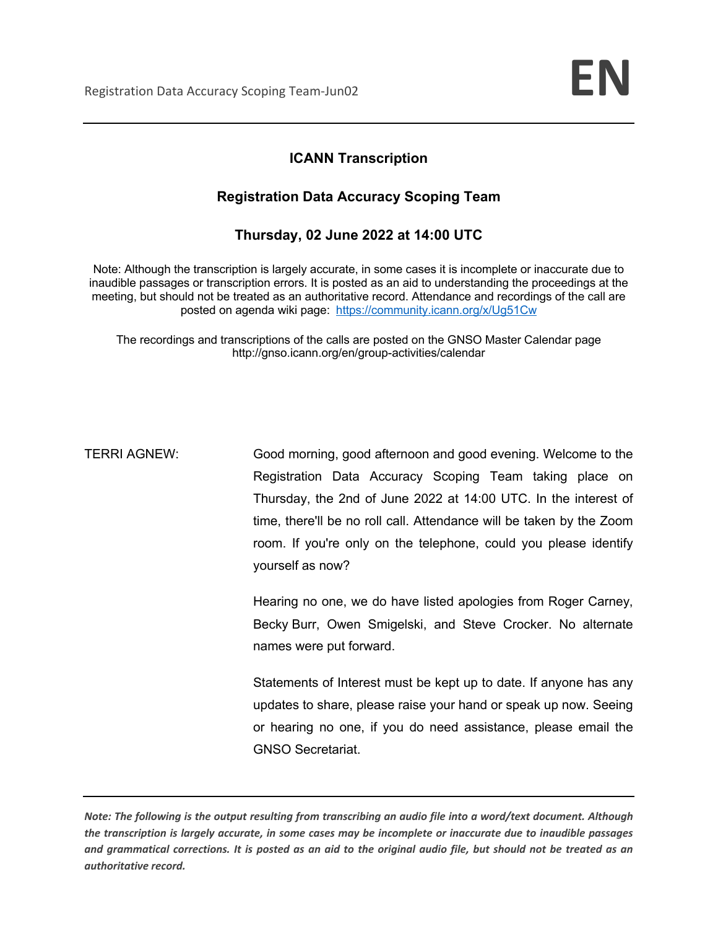# **ICANN Transcription**

## **Registration Data Accuracy Scoping Team**

**Thursday, 02 June 2022 at 14:00 UTC** 

Note: Although the transcription is largely accurate, in some cases it is incomplete or inaccurate due to inaudible passages or transcription errors. It is posted as an aid to understanding the proceedings at the meeting, but should not be treated as an authoritative record. Attendance and recordings of the call are posted on agenda wiki page: https://community.icann.org/x/Ug51Cw

The recordings and transcriptions of the calls are posted on the GNSO Master Calendar page http://gnso.icann.org/en/group-activities/calendar

TERRI AGNEW: Good morning, good afternoon and good evening. Welcome to the Registration Data Accuracy Scoping Team taking place on Thursday, the 2nd of June 2022 at 14:00 UTC. In the interest of time, there'll be no roll call. Attendance will be taken by the Zoom room. If you're only on the telephone, could you please identify yourself as now?

> Hearing no one, we do have listed apologies from Roger Carney, Becky Burr, Owen Smigelski, and Steve Crocker. No alternate names were put forward.

> Statements of Interest must be kept up to date. If anyone has any updates to share, please raise your hand or speak up now. Seeing or hearing no one, if you do need assistance, please email the GNSO Secretariat.

*Note: The following is the output resulting from transcribing an audio file into a word/text document. Although the transcription is largely accurate, in some cases may be incomplete or inaccurate due to inaudible passages and grammatical corrections. It is posted as an aid to the original audio file, but should not be treated as an authoritative record.*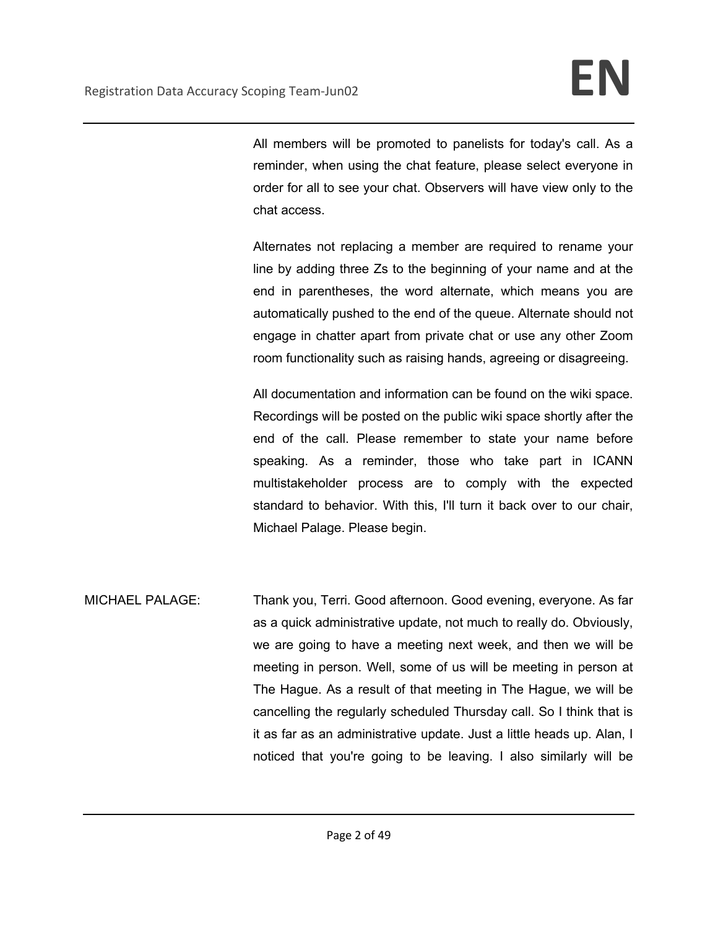All members will be promoted to panelists for today's call. As a reminder, when using the chat feature, please select everyone in order for all to see your chat. Observers will have view only to the chat access.

Alternates not replacing a member are required to rename your line by adding three Zs to the beginning of your name and at the end in parentheses, the word alternate, which means you are automatically pushed to the end of the queue. Alternate should not engage in chatter apart from private chat or use any other Zoom room functionality such as raising hands, agreeing or disagreeing.

All documentation and information can be found on the wiki space. Recordings will be posted on the public wiki space shortly after the end of the call. Please remember to state your name before speaking. As a reminder, those who take part in ICANN multistakeholder process are to comply with the expected standard to behavior. With this, I'll turn it back over to our chair, Michael Palage. Please begin.

MICHAEL PALAGE: Thank you, Terri. Good afternoon. Good evening, everyone. As far as a quick administrative update, not much to really do. Obviously, we are going to have a meeting next week, and then we will be meeting in person. Well, some of us will be meeting in person at The Hague. As a result of that meeting in The Hague, we will be cancelling the regularly scheduled Thursday call. So I think that is it as far as an administrative update. Just a little heads up. Alan, I noticed that you're going to be leaving. I also similarly will be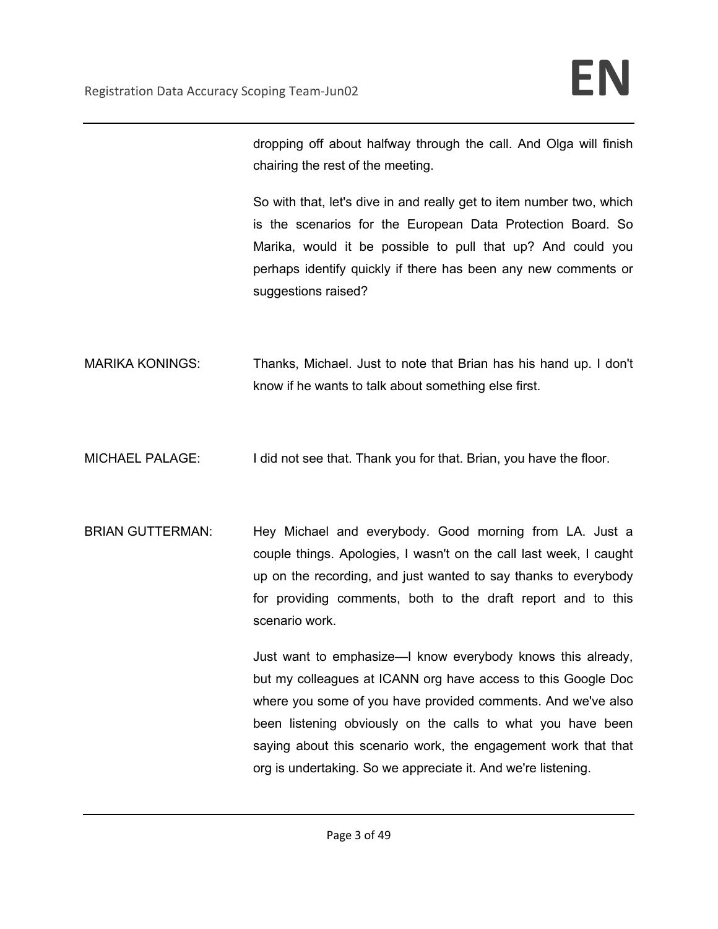dropping off about halfway through the call. And Olga will finish chairing the rest of the meeting.

So with that, let's dive in and really get to item number two, which is the scenarios for the European Data Protection Board. So Marika, would it be possible to pull that up? And could you perhaps identify quickly if there has been any new comments or suggestions raised?

- MARIKA KONINGS: Thanks, Michael. Just to note that Brian has his hand up. I don't know if he wants to talk about something else first.
- MICHAEL PALAGE: I did not see that. Thank you for that. Brian, you have the floor.
- BRIAN GUTTERMAN: Hey Michael and everybody. Good morning from LA. Just a couple things. Apologies, I wasn't on the call last week, I caught up on the recording, and just wanted to say thanks to everybody for providing comments, both to the draft report and to this scenario work.

Just want to emphasize—I know everybody knows this already, but my colleagues at ICANN org have access to this Google Doc where you some of you have provided comments. And we've also been listening obviously on the calls to what you have been saying about this scenario work, the engagement work that that org is undertaking. So we appreciate it. And we're listening.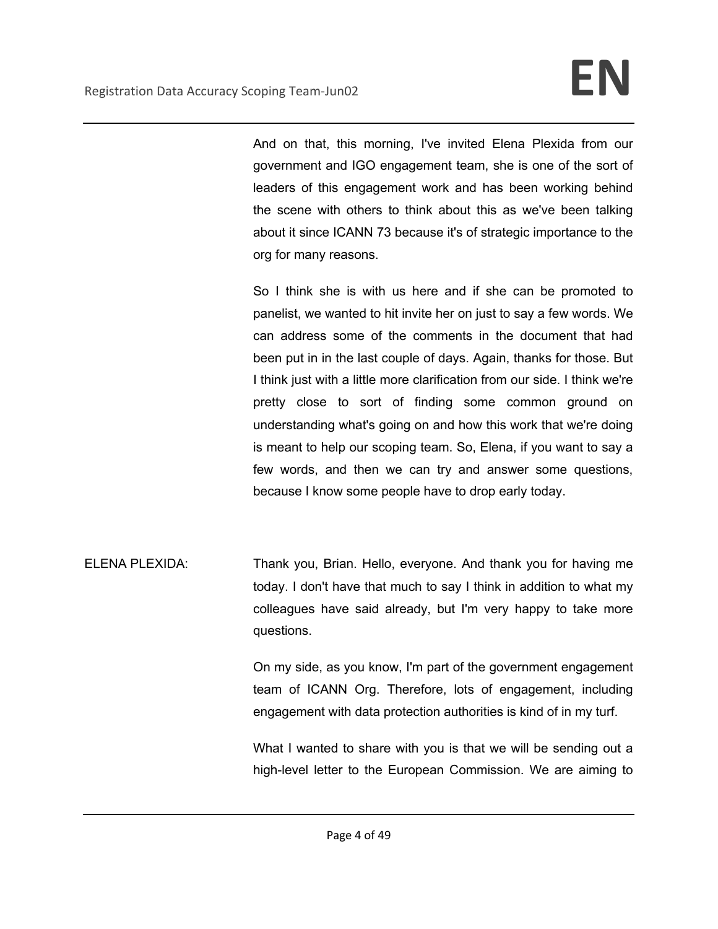And on that, this morning, I've invited Elena Plexida from our government and IGO engagement team, she is one of the sort of leaders of this engagement work and has been working behind the scene with others to think about this as we've been talking about it since ICANN 73 because it's of strategic importance to the org for many reasons.

So I think she is with us here and if she can be promoted to panelist, we wanted to hit invite her on just to say a few words. We can address some of the comments in the document that had been put in in the last couple of days. Again, thanks for those. But I think just with a little more clarification from our side. I think we're pretty close to sort of finding some common ground on understanding what's going on and how this work that we're doing is meant to help our scoping team. So, Elena, if you want to say a few words, and then we can try and answer some questions, because I know some people have to drop early today.

ELENA PLEXIDA: Thank you, Brian. Hello, everyone. And thank you for having me today. I don't have that much to say I think in addition to what my colleagues have said already, but I'm very happy to take more questions.

> On my side, as you know, I'm part of the government engagement team of ICANN Org. Therefore, lots of engagement, including engagement with data protection authorities is kind of in my turf.

> What I wanted to share with you is that we will be sending out a high-level letter to the European Commission. We are aiming to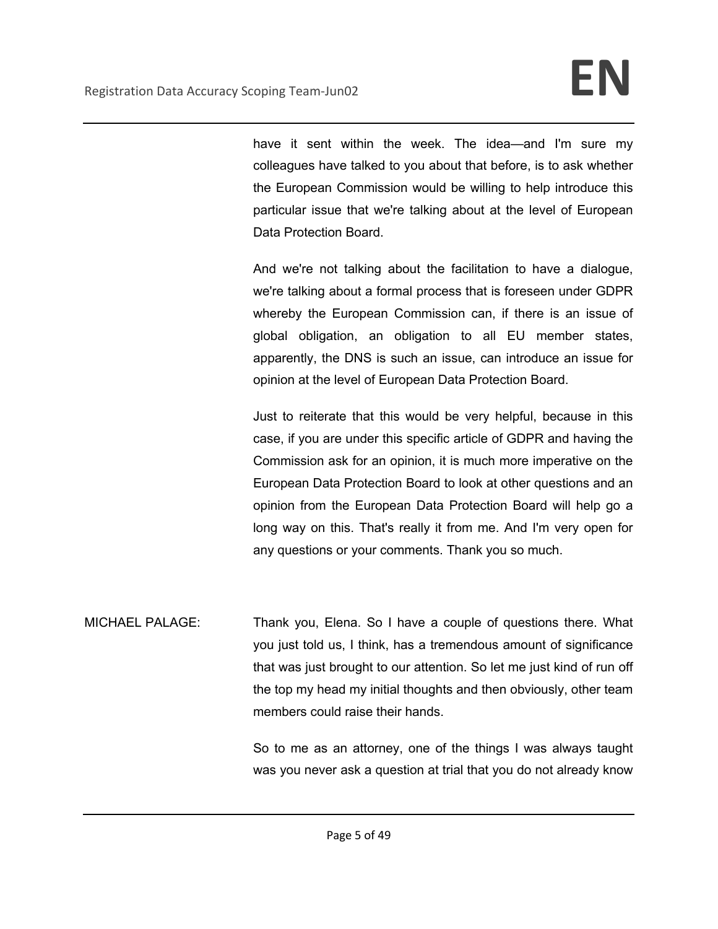have it sent within the week. The idea—and I'm sure my colleagues have talked to you about that before, is to ask whether the European Commission would be willing to help introduce this particular issue that we're talking about at the level of European Data Protection Board.

And we're not talking about the facilitation to have a dialogue, we're talking about a formal process that is foreseen under GDPR whereby the European Commission can, if there is an issue of global obligation, an obligation to all EU member states, apparently, the DNS is such an issue, can introduce an issue for opinion at the level of European Data Protection Board.

Just to reiterate that this would be very helpful, because in this case, if you are under this specific article of GDPR and having the Commission ask for an opinion, it is much more imperative on the European Data Protection Board to look at other questions and an opinion from the European Data Protection Board will help go a long way on this. That's really it from me. And I'm very open for any questions or your comments. Thank you so much.

MICHAEL PALAGE: Thank you, Elena. So I have a couple of questions there. What you just told us, I think, has a tremendous amount of significance that was just brought to our attention. So let me just kind of run off the top my head my initial thoughts and then obviously, other team members could raise their hands.

> So to me as an attorney, one of the things I was always taught was you never ask a question at trial that you do not already know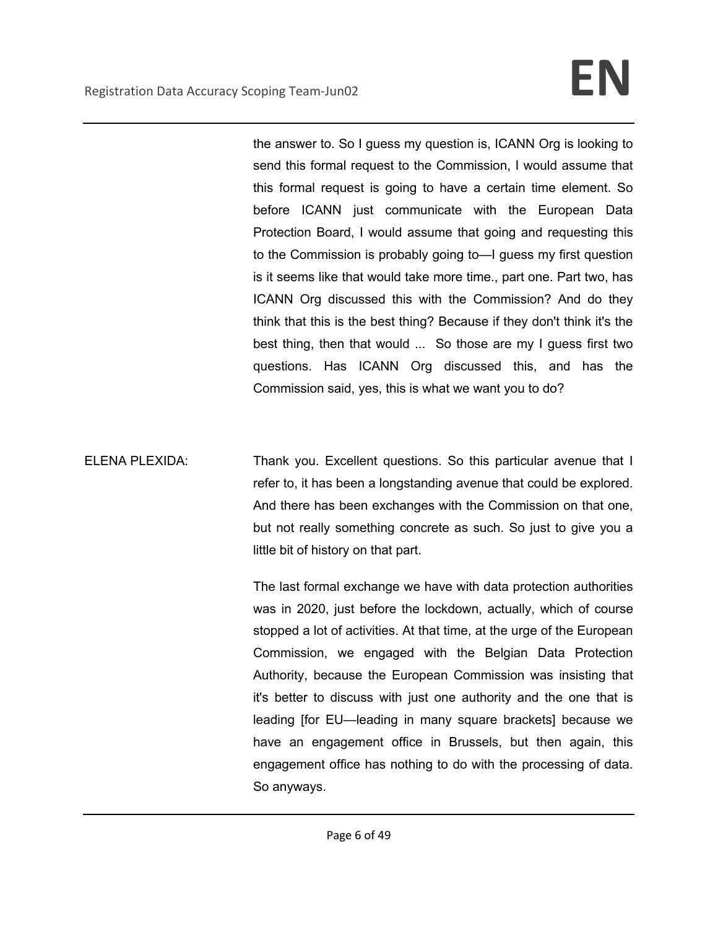the answer to. So I guess my question is, ICANN Org is looking to send this formal request to the Commission, I would assume that this formal request is going to have a certain time element. So before ICANN just communicate with the European Data Protection Board, I would assume that going and requesting this to the Commission is probably going to—I guess my first question is it seems like that would take more time., part one. Part two, has ICANN Org discussed this with the Commission? And do they think that this is the best thing? Because if they don't think it's the best thing, then that would ... So those are my I guess first two questions. Has ICANN Org discussed this, and has the Commission said, yes, this is what we want you to do?

ELENA PLEXIDA: Thank you. Excellent questions. So this particular avenue that I refer to, it has been a longstanding avenue that could be explored. And there has been exchanges with the Commission on that one, but not really something concrete as such. So just to give you a little bit of history on that part.

> The last formal exchange we have with data protection authorities was in 2020, just before the lockdown, actually, which of course stopped a lot of activities. At that time, at the urge of the European Commission, we engaged with the Belgian Data Protection Authority, because the European Commission was insisting that it's better to discuss with just one authority and the one that is leading [for EU—leading in many square brackets] because we have an engagement office in Brussels, but then again, this engagement office has nothing to do with the processing of data. So anyways.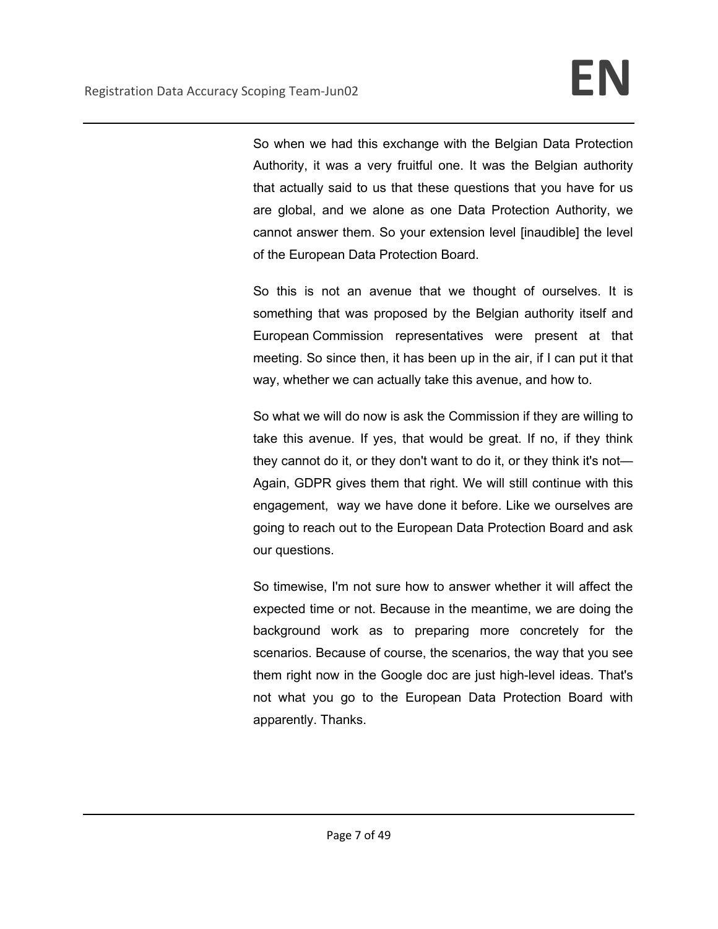So when we had this exchange with the Belgian Data Protection Authority, it was a very fruitful one. It was the Belgian authority that actually said to us that these questions that you have for us are global, and we alone as one Data Protection Authority, we cannot answer them. So your extension level [inaudible] the level of the European Data Protection Board.

So this is not an avenue that we thought of ourselves. It is something that was proposed by the Belgian authority itself and European Commission representatives were present at that meeting. So since then, it has been up in the air, if I can put it that way, whether we can actually take this avenue, and how to.

So what we will do now is ask the Commission if they are willing to take this avenue. If yes, that would be great. If no, if they think they cannot do it, or they don't want to do it, or they think it's not— Again, GDPR gives them that right. We will still continue with this engagement, way we have done it before. Like we ourselves are going to reach out to the European Data Protection Board and ask our questions.

So timewise, I'm not sure how to answer whether it will affect the expected time or not. Because in the meantime, we are doing the background work as to preparing more concretely for the scenarios. Because of course, the scenarios, the way that you see them right now in the Google doc are just high-level ideas. That's not what you go to the European Data Protection Board with apparently. Thanks.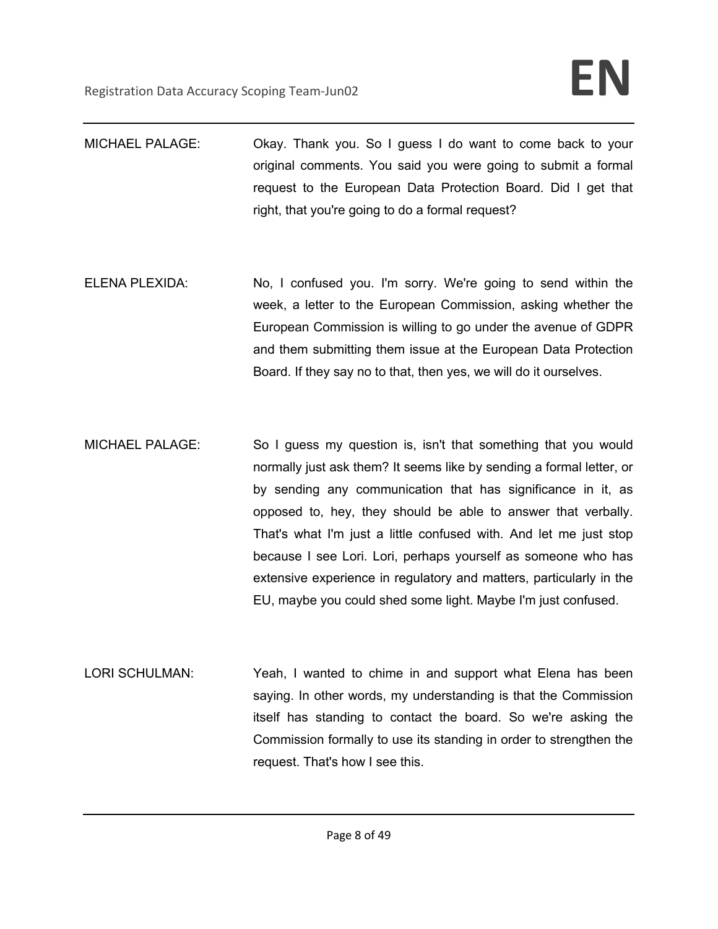- MICHAEL PALAGE: Okay. Thank you. So I guess I do want to come back to your original comments. You said you were going to submit a formal request to the European Data Protection Board. Did I get that right, that you're going to do a formal request?
- ELENA PLEXIDA: No, I confused you. I'm sorry. We're going to send within the week, a letter to the European Commission, asking whether the European Commission is willing to go under the avenue of GDPR and them submitting them issue at the European Data Protection Board. If they say no to that, then yes, we will do it ourselves.
- MICHAEL PALAGE: So I guess my question is, isn't that something that you would normally just ask them? It seems like by sending a formal letter, or by sending any communication that has significance in it, as opposed to, hey, they should be able to answer that verbally. That's what I'm just a little confused with. And let me just stop because I see Lori. Lori, perhaps yourself as someone who has extensive experience in regulatory and matters, particularly in the EU, maybe you could shed some light. Maybe I'm just confused.
- LORI SCHULMAN: Yeah, I wanted to chime in and support what Elena has been saying. In other words, my understanding is that the Commission itself has standing to contact the board. So we're asking the Commission formally to use its standing in order to strengthen the request. That's how I see this.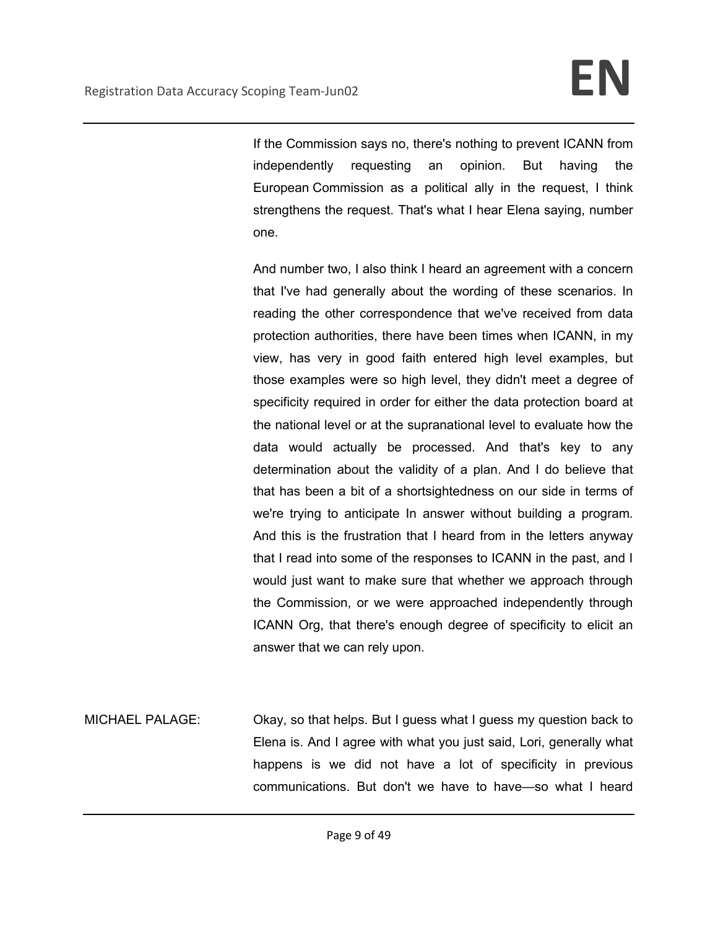If the Commission says no, there's nothing to prevent ICANN from independently requesting an opinion. But having the European Commission as a political ally in the request, I think strengthens the request. That's what I hear Elena saying, number one.

And number two, I also think I heard an agreement with a concern that I've had generally about the wording of these scenarios. In reading the other correspondence that we've received from data protection authorities, there have been times when ICANN, in my view, has very in good faith entered high level examples, but those examples were so high level, they didn't meet a degree of specificity required in order for either the data protection board at the national level or at the supranational level to evaluate how the data would actually be processed. And that's key to any determination about the validity of a plan. And I do believe that that has been a bit of a shortsightedness on our side in terms of we're trying to anticipate In answer without building a program. And this is the frustration that I heard from in the letters anyway that I read into some of the responses to ICANN in the past, and I would just want to make sure that whether we approach through the Commission, or we were approached independently through ICANN Org, that there's enough degree of specificity to elicit an answer that we can rely upon.

MICHAEL PALAGE: Okay, so that helps. But I guess what I guess my question back to Elena is. And I agree with what you just said, Lori, generally what happens is we did not have a lot of specificity in previous communications. But don't we have to have—so what I heard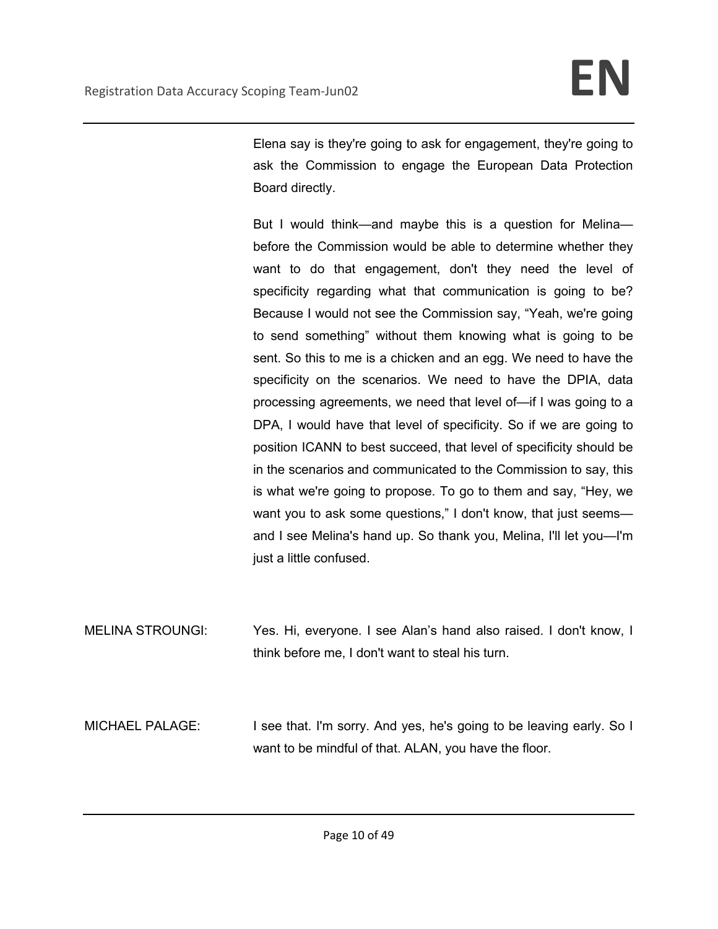Elena say is they're going to ask for engagement, they're going to ask the Commission to engage the European Data Protection Board directly.

But I would think—and maybe this is a question for Melina before the Commission would be able to determine whether they want to do that engagement, don't they need the level of specificity regarding what that communication is going to be? Because I would not see the Commission say, "Yeah, we're going to send something" without them knowing what is going to be sent. So this to me is a chicken and an egg. We need to have the specificity on the scenarios. We need to have the DPIA, data processing agreements, we need that level of—if I was going to a DPA, I would have that level of specificity. So if we are going to position ICANN to best succeed, that level of specificity should be in the scenarios and communicated to the Commission to say, this is what we're going to propose. To go to them and say, "Hey, we want you to ask some questions," I don't know, that just seemsand I see Melina's hand up. So thank you, Melina, I'll let you—I'm just a little confused.

MELINA STROUNGI: Yes. Hi, everyone. I see Alan's hand also raised. I don't know, I think before me, I don't want to steal his turn.

MICHAEL PALAGE: I see that. I'm sorry. And yes, he's going to be leaving early. So I want to be mindful of that. ALAN, you have the floor.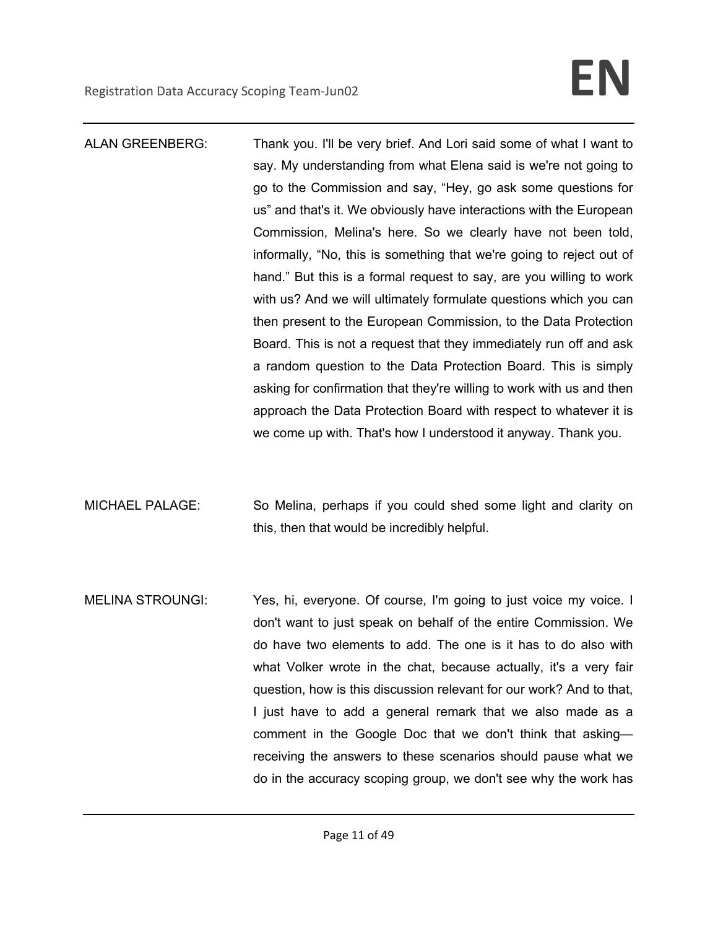- ALAN GREENBERG: Thank you. I'll be very brief. And Lori said some of what I want to say. My understanding from what Elena said is we're not going to go to the Commission and say, "Hey, go ask some questions for us" and that's it. We obviously have interactions with the European Commission, Melina's here. So we clearly have not been told, informally, "No, this is something that we're going to reject out of hand." But this is a formal request to say, are you willing to work with us? And we will ultimately formulate questions which you can then present to the European Commission, to the Data Protection Board. This is not a request that they immediately run off and ask a random question to the Data Protection Board. This is simply asking for confirmation that they're willing to work with us and then approach the Data Protection Board with respect to whatever it is we come up with. That's how I understood it anyway. Thank you.
- MICHAEL PALAGE: So Melina, perhaps if you could shed some light and clarity on this, then that would be incredibly helpful.
- MELINA STROUNGI: Yes, hi, everyone. Of course, I'm going to just voice my voice. I don't want to just speak on behalf of the entire Commission. We do have two elements to add. The one is it has to do also with what Volker wrote in the chat, because actually, it's a very fair question, how is this discussion relevant for our work? And to that, I just have to add a general remark that we also made as a comment in the Google Doc that we don't think that asking receiving the answers to these scenarios should pause what we do in the accuracy scoping group, we don't see why the work has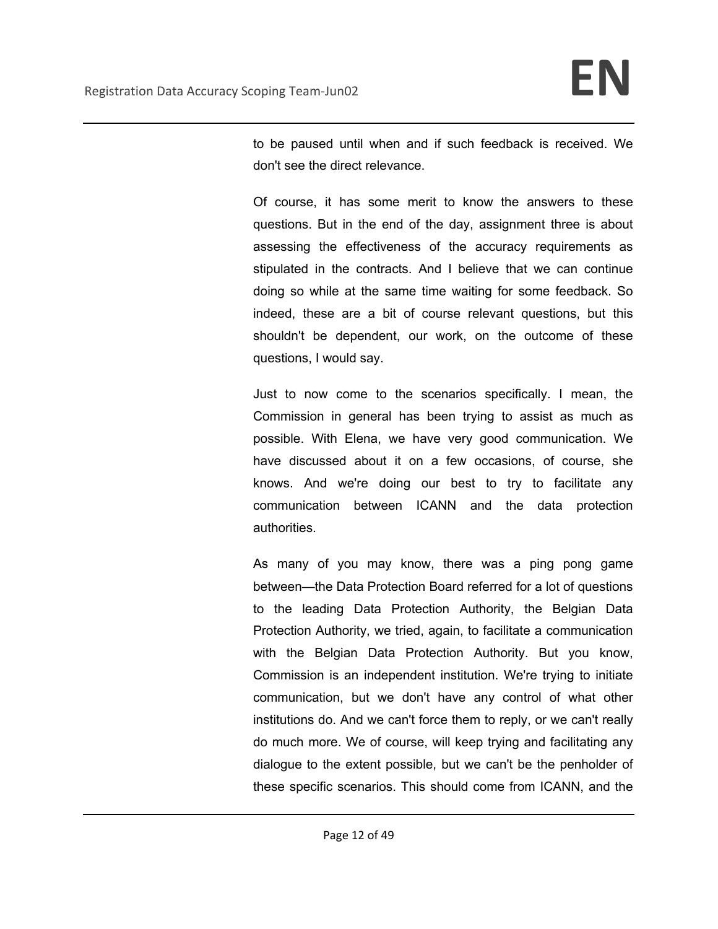to be paused until when and if such feedback is received. We don't see the direct relevance.

Of course, it has some merit to know the answers to these questions. But in the end of the day, assignment three is about assessing the effectiveness of the accuracy requirements as stipulated in the contracts. And I believe that we can continue doing so while at the same time waiting for some feedback. So indeed, these are a bit of course relevant questions, but this shouldn't be dependent, our work, on the outcome of these questions, I would say.

Just to now come to the scenarios specifically. I mean, the Commission in general has been trying to assist as much as possible. With Elena, we have very good communication. We have discussed about it on a few occasions, of course, she knows. And we're doing our best to try to facilitate any communication between ICANN and the data protection authorities.

As many of you may know, there was a ping pong game between—the Data Protection Board referred for a lot of questions to the leading Data Protection Authority, the Belgian Data Protection Authority, we tried, again, to facilitate a communication with the Belgian Data Protection Authority. But you know, Commission is an independent institution. We're trying to initiate communication, but we don't have any control of what other institutions do. And we can't force them to reply, or we can't really do much more. We of course, will keep trying and facilitating any dialogue to the extent possible, but we can't be the penholder of these specific scenarios. This should come from ICANN, and the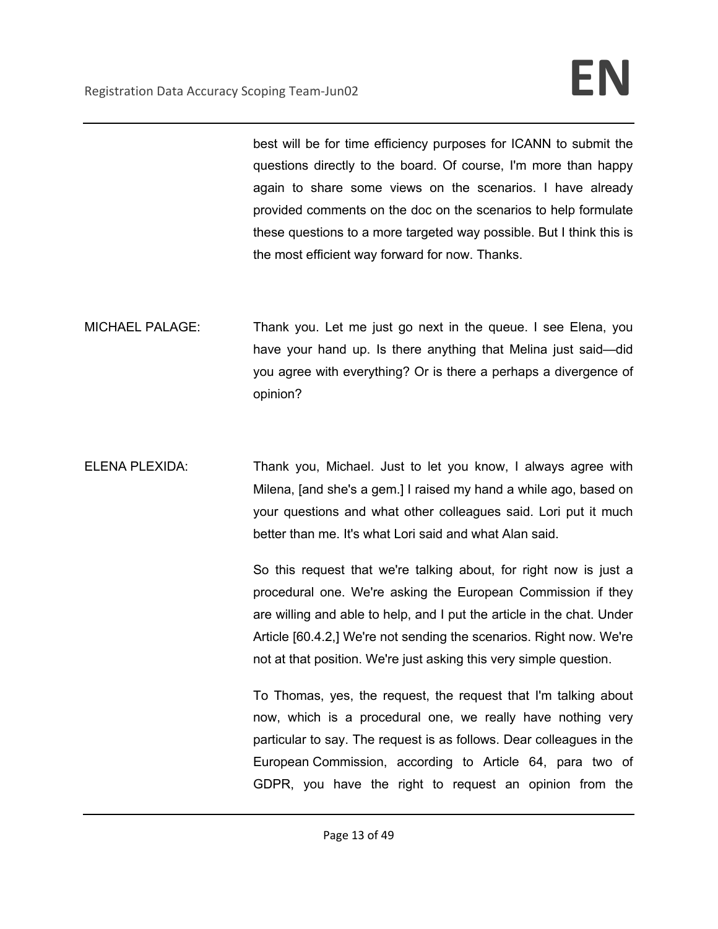best will be for time efficiency purposes for ICANN to submit the questions directly to the board. Of course, I'm more than happy again to share some views on the scenarios. I have already provided comments on the doc on the scenarios to help formulate these questions to a more targeted way possible. But I think this is the most efficient way forward for now. Thanks.

- MICHAEL PALAGE: Thank you. Let me just go next in the queue. I see Elena, you have your hand up. Is there anything that Melina just said—did you agree with everything? Or is there a perhaps a divergence of opinion?
- ELENA PLEXIDA: Thank you, Michael. Just to let you know, I always agree with Milena, [and she's a gem.] I raised my hand a while ago, based on your questions and what other colleagues said. Lori put it much better than me. It's what Lori said and what Alan said.

So this request that we're talking about, for right now is just a procedural one. We're asking the European Commission if they are willing and able to help, and I put the article in the chat. Under Article [60.4.2,] We're not sending the scenarios. Right now. We're not at that position. We're just asking this very simple question.

To Thomas, yes, the request, the request that I'm talking about now, which is a procedural one, we really have nothing very particular to say. The request is as follows. Dear colleagues in the European Commission, according to Article 64, para two of GDPR, you have the right to request an opinion from the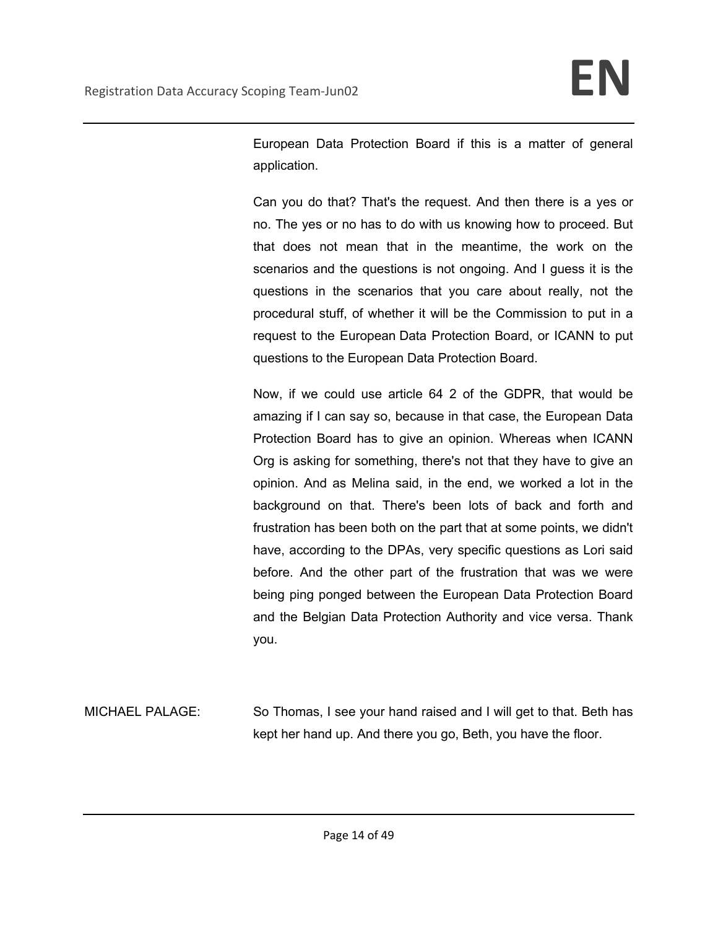European Data Protection Board if this is a matter of general application.

Can you do that? That's the request. And then there is a yes or no. The yes or no has to do with us knowing how to proceed. But that does not mean that in the meantime, the work on the scenarios and the questions is not ongoing. And I guess it is the questions in the scenarios that you care about really, not the procedural stuff, of whether it will be the Commission to put in a request to the European Data Protection Board, or ICANN to put questions to the European Data Protection Board.

Now, if we could use article 64 2 of the GDPR, that would be amazing if I can say so, because in that case, the European Data Protection Board has to give an opinion. Whereas when ICANN Org is asking for something, there's not that they have to give an opinion. And as Melina said, in the end, we worked a lot in the background on that. There's been lots of back and forth and frustration has been both on the part that at some points, we didn't have, according to the DPAs, very specific questions as Lori said before. And the other part of the frustration that was we were being ping ponged between the European Data Protection Board and the Belgian Data Protection Authority and vice versa. Thank you.

MICHAEL PALAGE: So Thomas, I see your hand raised and I will get to that. Beth has kept her hand up. And there you go, Beth, you have the floor.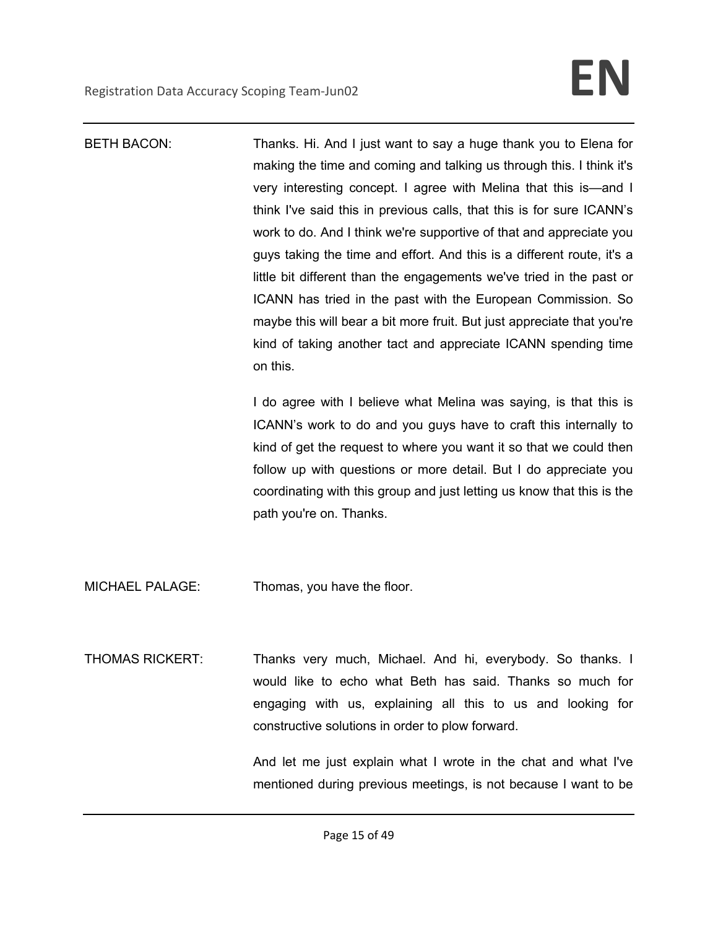| <b>BETH BACON:</b>     | Thanks. Hi. And I just want to say a huge thank you to Elena for<br>making the time and coming and talking us through this. I think it's<br>very interesting concept. I agree with Melina that this is—and I<br>think I've said this in previous calls, that this is for sure ICANN's<br>work to do. And I think we're supportive of that and appreciate you<br>guys taking the time and effort. And this is a different route, it's a<br>little bit different than the engagements we've tried in the past or<br>ICANN has tried in the past with the European Commission. So<br>maybe this will bear a bit more fruit. But just appreciate that you're<br>kind of taking another tact and appreciate ICANN spending time<br>on this. |
|------------------------|----------------------------------------------------------------------------------------------------------------------------------------------------------------------------------------------------------------------------------------------------------------------------------------------------------------------------------------------------------------------------------------------------------------------------------------------------------------------------------------------------------------------------------------------------------------------------------------------------------------------------------------------------------------------------------------------------------------------------------------|
|                        | I do agree with I believe what Melina was saying, is that this is<br>ICANN's work to do and you guys have to craft this internally to<br>kind of get the request to where you want it so that we could then<br>follow up with questions or more detail. But I do appreciate you<br>coordinating with this group and just letting us know that this is the<br>path you're on. Thanks.                                                                                                                                                                                                                                                                                                                                                   |
| <b>MICHAEL PALAGE:</b> | Thomas, you have the floor.                                                                                                                                                                                                                                                                                                                                                                                                                                                                                                                                                                                                                                                                                                            |
| <b>THOMAS RICKERT:</b> | Thanks very much, Michael. And hi, everybody. So thanks. I<br>would like to echo what Beth has said. Thanks so much for<br>engaging with us, explaining all this to us and looking for<br>constructive solutions in order to plow forward.<br>And let me just explain what I wrote in the chat and what I've<br>mentioned during previous meetings, is not because I want to be                                                                                                                                                                                                                                                                                                                                                        |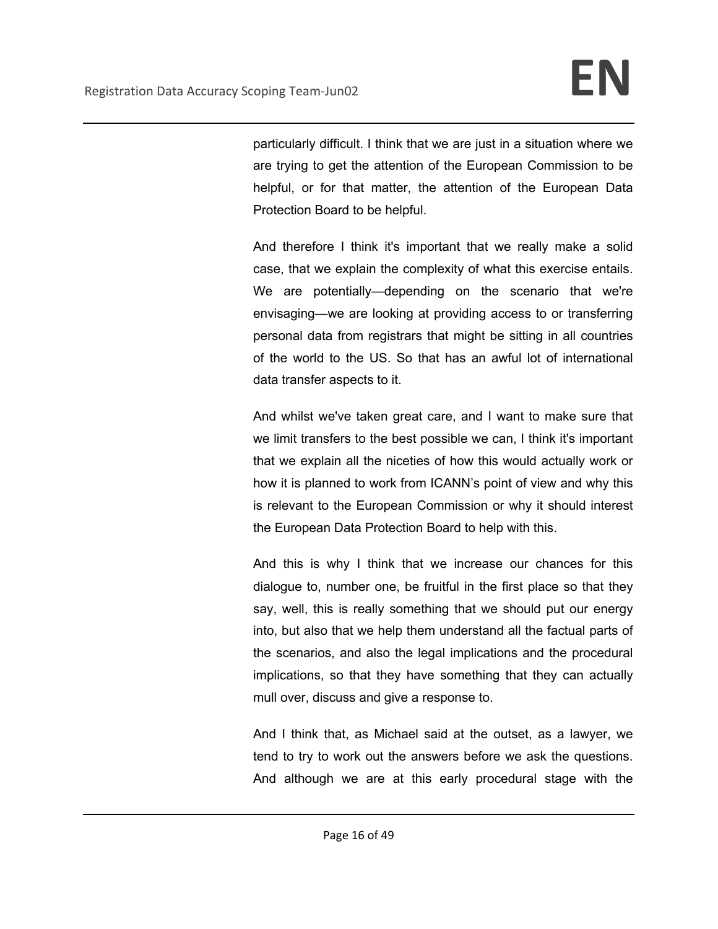particularly difficult. I think that we are just in a situation where we are trying to get the attention of the European Commission to be helpful, or for that matter, the attention of the European Data Protection Board to be helpful.

And therefore I think it's important that we really make a solid case, that we explain the complexity of what this exercise entails. We are potentially—depending on the scenario that we're envisaging—we are looking at providing access to or transferring personal data from registrars that might be sitting in all countries of the world to the US. So that has an awful lot of international data transfer aspects to it.

And whilst we've taken great care, and I want to make sure that we limit transfers to the best possible we can, I think it's important that we explain all the niceties of how this would actually work or how it is planned to work from ICANN's point of view and why this is relevant to the European Commission or why it should interest the European Data Protection Board to help with this.

And this is why I think that we increase our chances for this dialogue to, number one, be fruitful in the first place so that they say, well, this is really something that we should put our energy into, but also that we help them understand all the factual parts of the scenarios, and also the legal implications and the procedural implications, so that they have something that they can actually mull over, discuss and give a response to.

And I think that, as Michael said at the outset, as a lawyer, we tend to try to work out the answers before we ask the questions. And although we are at this early procedural stage with the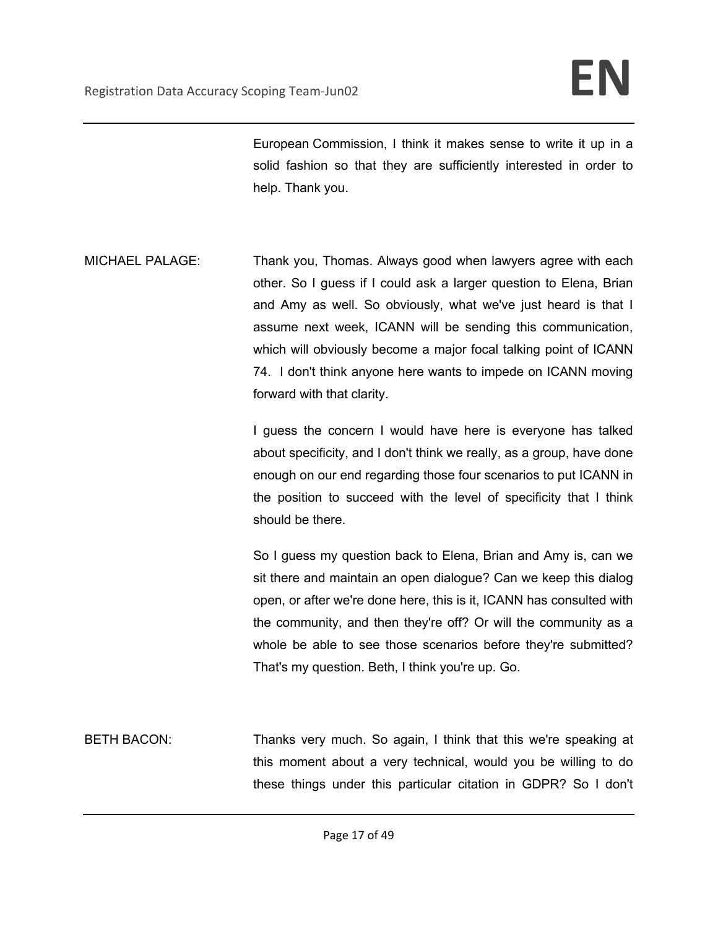European Commission, I think it makes sense to write it up in a solid fashion so that they are sufficiently interested in order to help. Thank you.

MICHAEL PALAGE: Thank you, Thomas. Always good when lawyers agree with each other. So I guess if I could ask a larger question to Elena, Brian and Amy as well. So obviously, what we've just heard is that I assume next week, ICANN will be sending this communication, which will obviously become a major focal talking point of ICANN 74. I don't think anyone here wants to impede on ICANN moving forward with that clarity.

> I guess the concern I would have here is everyone has talked about specificity, and I don't think we really, as a group, have done enough on our end regarding those four scenarios to put ICANN in the position to succeed with the level of specificity that I think should be there.

> So I guess my question back to Elena, Brian and Amy is, can we sit there and maintain an open dialogue? Can we keep this dialog open, or after we're done here, this is it, ICANN has consulted with the community, and then they're off? Or will the community as a whole be able to see those scenarios before they're submitted? That's my question. Beth, I think you're up. Go.

BETH BACON: Thanks very much. So again, I think that this we're speaking at this moment about a very technical, would you be willing to do these things under this particular citation in GDPR? So I don't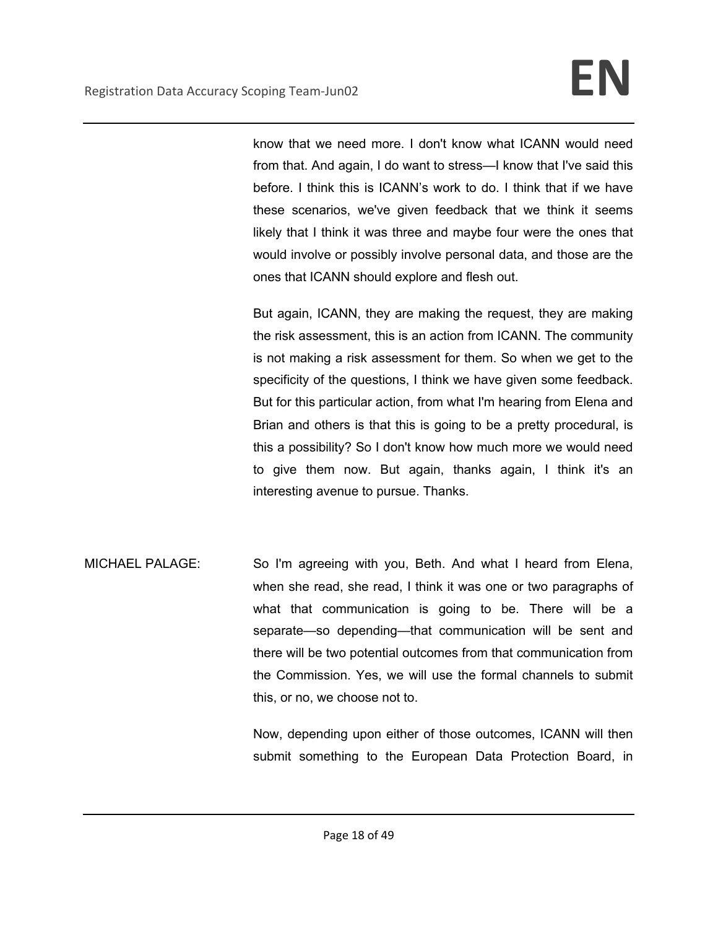know that we need more. I don't know what ICANN would need from that. And again, I do want to stress—I know that I've said this before. I think this is ICANN's work to do. I think that if we have these scenarios, we've given feedback that we think it seems likely that I think it was three and maybe four were the ones that would involve or possibly involve personal data, and those are the ones that ICANN should explore and flesh out.

But again, ICANN, they are making the request, they are making the risk assessment, this is an action from ICANN. The community is not making a risk assessment for them. So when we get to the specificity of the questions, I think we have given some feedback. But for this particular action, from what I'm hearing from Elena and Brian and others is that this is going to be a pretty procedural, is this a possibility? So I don't know how much more we would need to give them now. But again, thanks again, I think it's an interesting avenue to pursue. Thanks.

MICHAEL PALAGE: So I'm agreeing with you, Beth. And what I heard from Elena, when she read, she read, I think it was one or two paragraphs of what that communication is going to be. There will be a separate—so depending—that communication will be sent and there will be two potential outcomes from that communication from the Commission. Yes, we will use the formal channels to submit this, or no, we choose not to.

> Now, depending upon either of those outcomes, ICANN will then submit something to the European Data Protection Board, in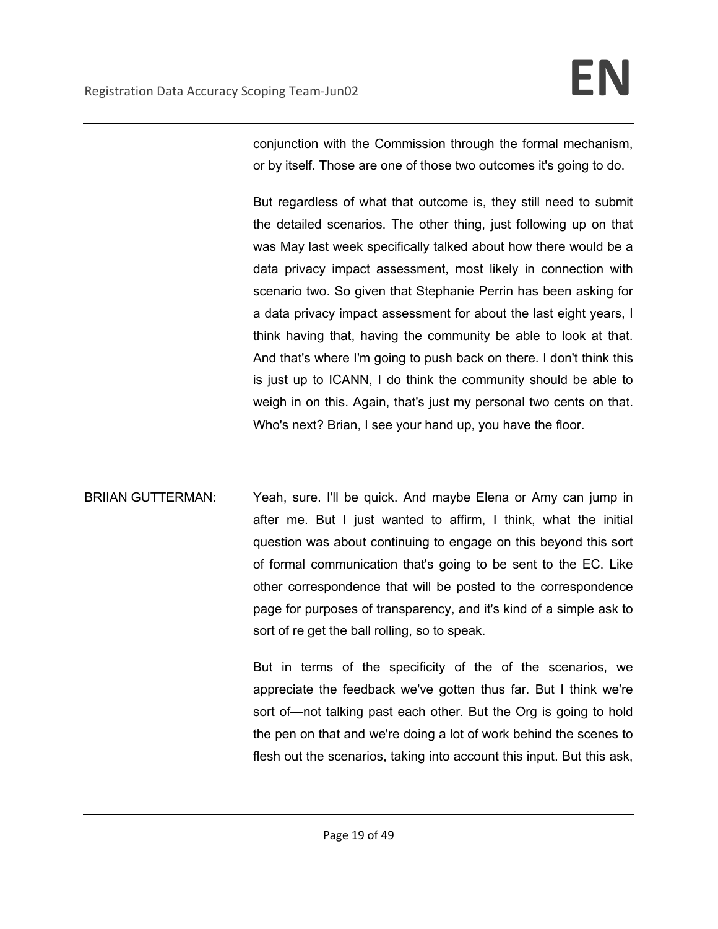conjunction with the Commission through the formal mechanism, or by itself. Those are one of those two outcomes it's going to do.

But regardless of what that outcome is, they still need to submit the detailed scenarios. The other thing, just following up on that was May last week specifically talked about how there would be a data privacy impact assessment, most likely in connection with scenario two. So given that Stephanie Perrin has been asking for a data privacy impact assessment for about the last eight years, I think having that, having the community be able to look at that. And that's where I'm going to push back on there. I don't think this is just up to ICANN, I do think the community should be able to weigh in on this. Again, that's just my personal two cents on that. Who's next? Brian, I see your hand up, you have the floor.

BRIIAN GUTTERMAN: Yeah, sure. I'll be quick. And maybe Elena or Amy can jump in after me. But I just wanted to affirm, I think, what the initial question was about continuing to engage on this beyond this sort of formal communication that's going to be sent to the EC. Like other correspondence that will be posted to the correspondence page for purposes of transparency, and it's kind of a simple ask to sort of re get the ball rolling, so to speak.

> But in terms of the specificity of the of the scenarios, we appreciate the feedback we've gotten thus far. But I think we're sort of—not talking past each other. But the Org is going to hold the pen on that and we're doing a lot of work behind the scenes to flesh out the scenarios, taking into account this input. But this ask,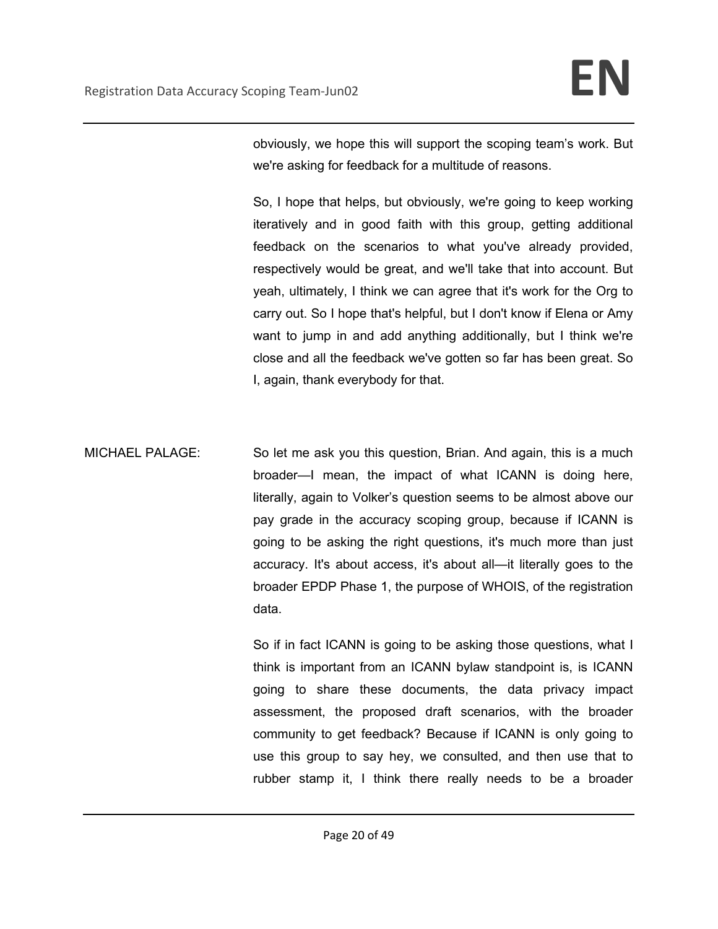obviously, we hope this will support the scoping team's work. But we're asking for feedback for a multitude of reasons.

So, I hope that helps, but obviously, we're going to keep working iteratively and in good faith with this group, getting additional feedback on the scenarios to what you've already provided, respectively would be great, and we'll take that into account. But yeah, ultimately, I think we can agree that it's work for the Org to carry out. So I hope that's helpful, but I don't know if Elena or Amy want to jump in and add anything additionally, but I think we're close and all the feedback we've gotten so far has been great. So I, again, thank everybody for that.

MICHAEL PALAGE: So let me ask you this question, Brian. And again, this is a much broader—I mean, the impact of what ICANN is doing here, literally, again to Volker's question seems to be almost above our pay grade in the accuracy scoping group, because if ICANN is going to be asking the right questions, it's much more than just accuracy. It's about access, it's about all—it literally goes to the broader EPDP Phase 1, the purpose of WHOIS, of the registration data.

> So if in fact ICANN is going to be asking those questions, what I think is important from an ICANN bylaw standpoint is, is ICANN going to share these documents, the data privacy impact assessment, the proposed draft scenarios, with the broader community to get feedback? Because if ICANN is only going to use this group to say hey, we consulted, and then use that to rubber stamp it, I think there really needs to be a broader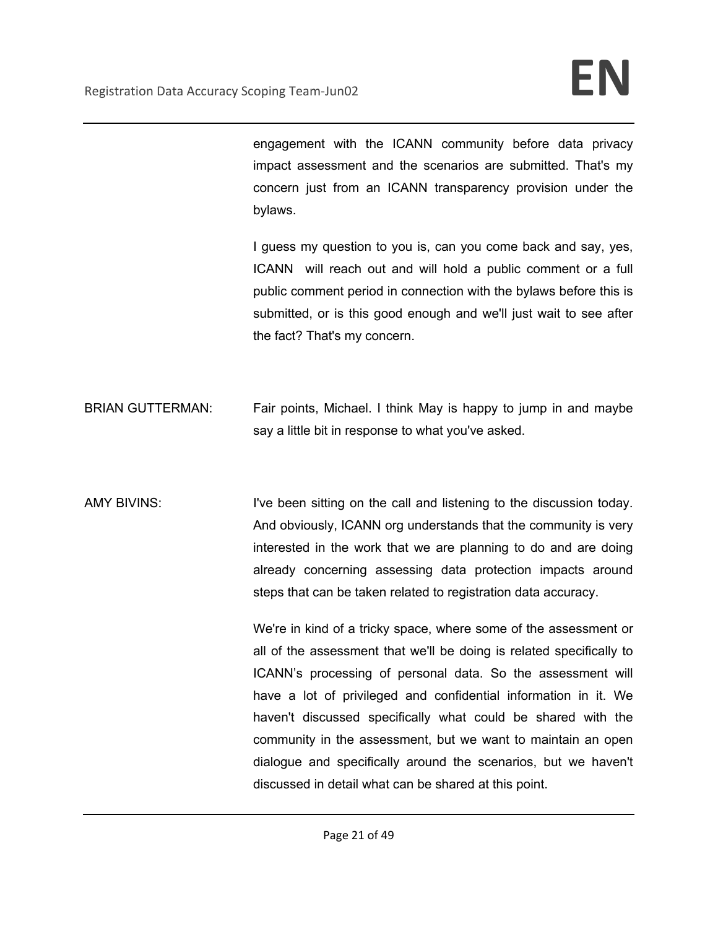engagement with the ICANN community before data privacy impact assessment and the scenarios are submitted. That's my concern just from an ICANN transparency provision under the bylaws.

I guess my question to you is, can you come back and say, yes, ICANN will reach out and will hold a public comment or a full public comment period in connection with the bylaws before this is submitted, or is this good enough and we'll just wait to see after the fact? That's my concern.

- BRIAN GUTTERMAN: Fair points, Michael. I think May is happy to jump in and maybe say a little bit in response to what you've asked.
- AMY BIVINS: I've been sitting on the call and listening to the discussion today. And obviously, ICANN org understands that the community is very interested in the work that we are planning to do and are doing already concerning assessing data protection impacts around steps that can be taken related to registration data accuracy.

We're in kind of a tricky space, where some of the assessment or all of the assessment that we'll be doing is related specifically to ICANN's processing of personal data. So the assessment will have a lot of privileged and confidential information in it. We haven't discussed specifically what could be shared with the community in the assessment, but we want to maintain an open dialogue and specifically around the scenarios, but we haven't discussed in detail what can be shared at this point.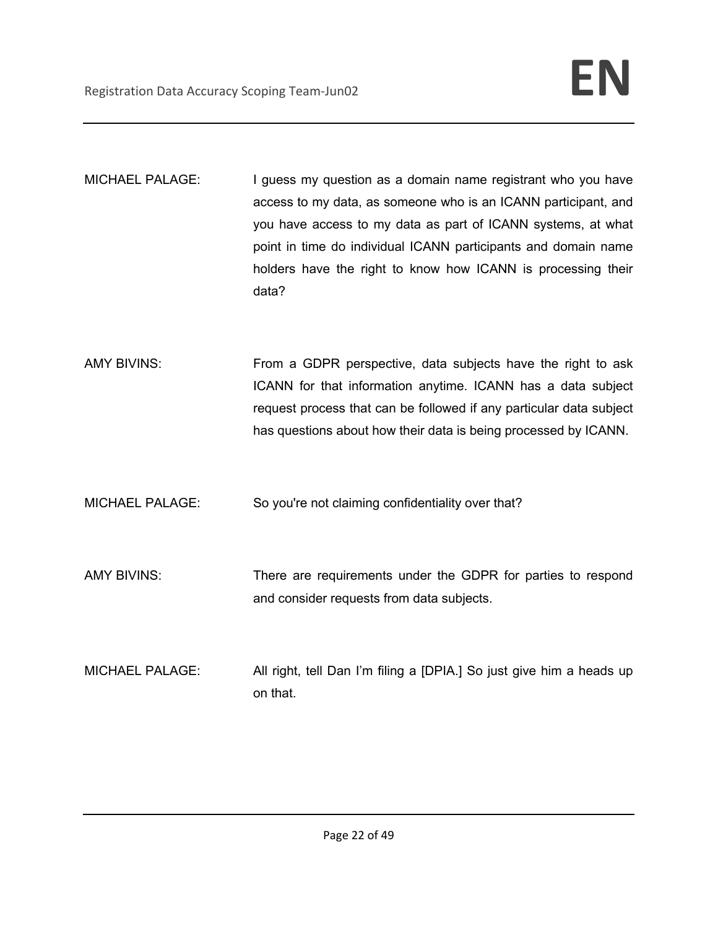MICHAEL PALAGE: I guess my question as a domain name registrant who you have access to my data, as someone who is an ICANN participant, and you have access to my data as part of ICANN systems, at what point in time do individual ICANN participants and domain name holders have the right to know how ICANN is processing their data?

AMY BIVINS: From a GDPR perspective, data subjects have the right to ask ICANN for that information anytime. ICANN has a data subject request process that can be followed if any particular data subject has questions about how their data is being processed by ICANN.

MICHAEL PALAGE: So you're not claiming confidentiality over that?

AMY BIVINS: There are requirements under the GDPR for parties to respond and consider requests from data subjects.

MICHAEL PALAGE: All right, tell Dan I'm filing a [DPIA.] So just give him a heads up on that.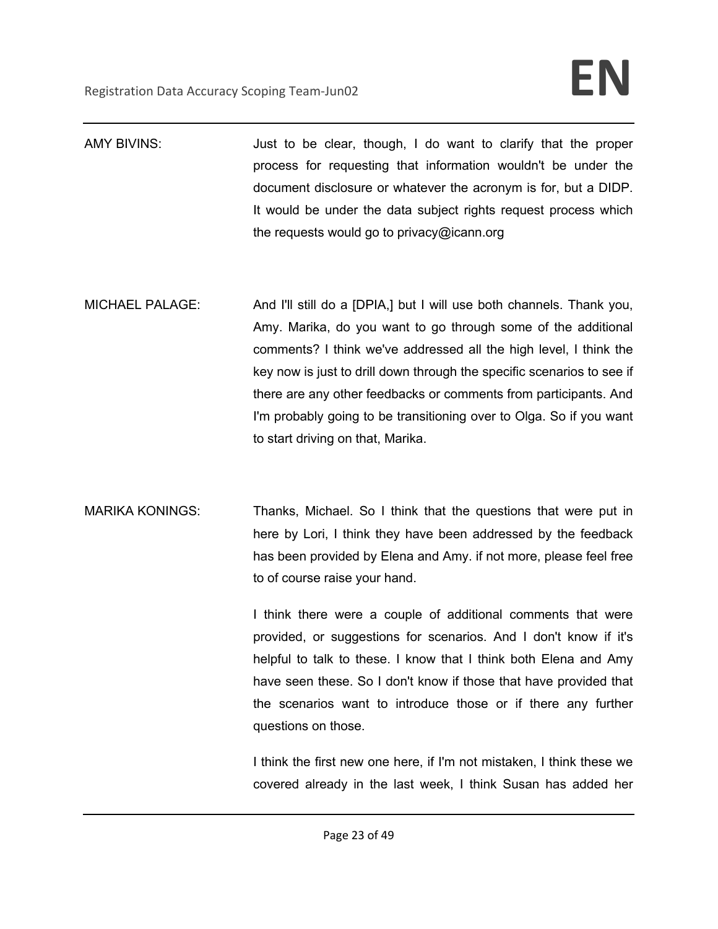- AMY BIVINS:  $\overline{\phantom{a}}$  Just to be clear, though, I do want to clarify that the proper process for requesting that information wouldn't be under the document disclosure or whatever the acronym is for, but a DIDP. It would be under the data subject rights request process which the requests would go to privacy@icann.org
- MICHAEL PALAGE: And I'll still do a [DPIA,] but I will use both channels. Thank you, Amy. Marika, do you want to go through some of the additional comments? I think we've addressed all the high level, I think the key now is just to drill down through the specific scenarios to see if there are any other feedbacks or comments from participants. And I'm probably going to be transitioning over to Olga. So if you want to start driving on that, Marika.
- MARIKA KONINGS: Thanks, Michael. So I think that the questions that were put in here by Lori, I think they have been addressed by the feedback has been provided by Elena and Amy. if not more, please feel free to of course raise your hand.

I think there were a couple of additional comments that were provided, or suggestions for scenarios. And I don't know if it's helpful to talk to these. I know that I think both Elena and Amy have seen these. So I don't know if those that have provided that the scenarios want to introduce those or if there any further questions on those.

I think the first new one here, if I'm not mistaken, I think these we covered already in the last week, I think Susan has added her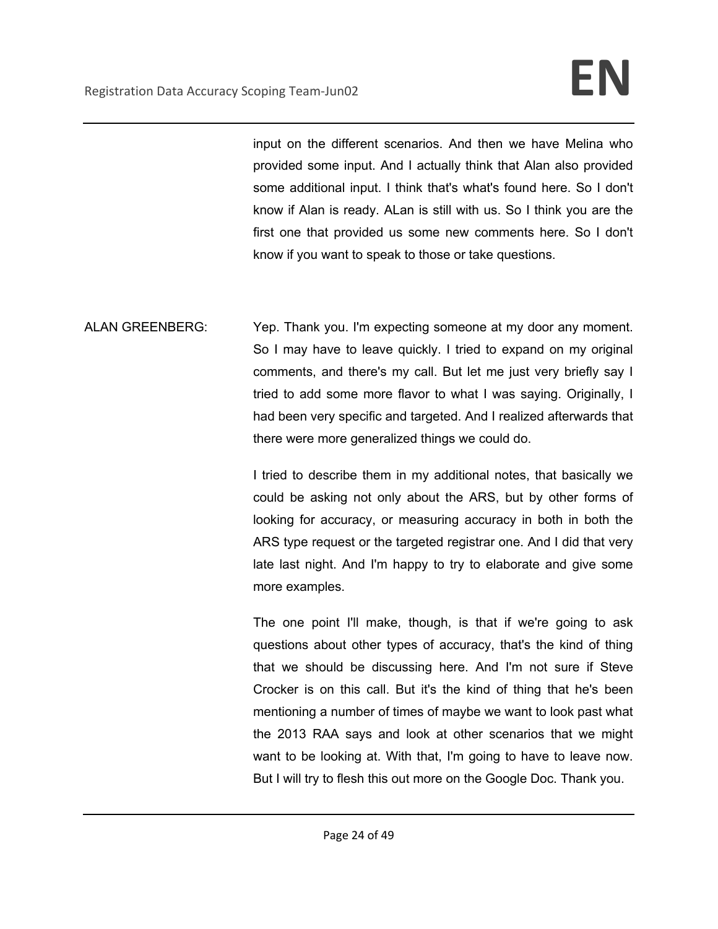input on the different scenarios. And then we have Melina who provided some input. And I actually think that Alan also provided some additional input. I think that's what's found here. So I don't know if Alan is ready. ALan is still with us. So I think you are the first one that provided us some new comments here. So I don't know if you want to speak to those or take questions.

ALAN GREENBERG: Yep. Thank you. I'm expecting someone at my door any moment. So I may have to leave quickly. I tried to expand on my original comments, and there's my call. But let me just very briefly say I tried to add some more flavor to what I was saying. Originally, I had been very specific and targeted. And I realized afterwards that there were more generalized things we could do.

> I tried to describe them in my additional notes, that basically we could be asking not only about the ARS, but by other forms of looking for accuracy, or measuring accuracy in both in both the ARS type request or the targeted registrar one. And I did that very late last night. And I'm happy to try to elaborate and give some more examples.

> The one point I'll make, though, is that if we're going to ask questions about other types of accuracy, that's the kind of thing that we should be discussing here. And I'm not sure if Steve Crocker is on this call. But it's the kind of thing that he's been mentioning a number of times of maybe we want to look past what the 2013 RAA says and look at other scenarios that we might want to be looking at. With that, I'm going to have to leave now. But I will try to flesh this out more on the Google Doc. Thank you.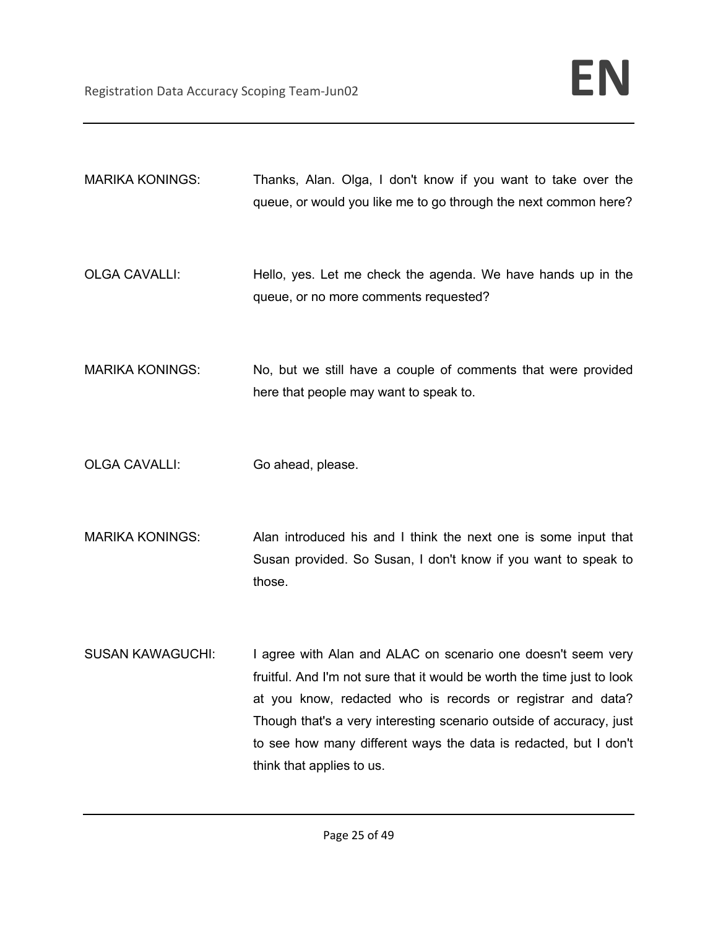- MARIKA KONINGS: Thanks, Alan. Olga, I don't know if you want to take over the queue, or would you like me to go through the next common here?
- OLGA CAVALLI: Hello, yes. Let me check the agenda. We have hands up in the queue, or no more comments requested?
- MARIKA KONINGS: No, but we still have a couple of comments that were provided here that people may want to speak to.
- OLGA CAVALLI: Go ahead, please.
- MARIKA KONINGS: Alan introduced his and I think the next one is some input that Susan provided. So Susan, I don't know if you want to speak to those.
- SUSAN KAWAGUCHI: I agree with Alan and ALAC on scenario one doesn't seem very fruitful. And I'm not sure that it would be worth the time just to look at you know, redacted who is records or registrar and data? Though that's a very interesting scenario outside of accuracy, just to see how many different ways the data is redacted, but I don't think that applies to us.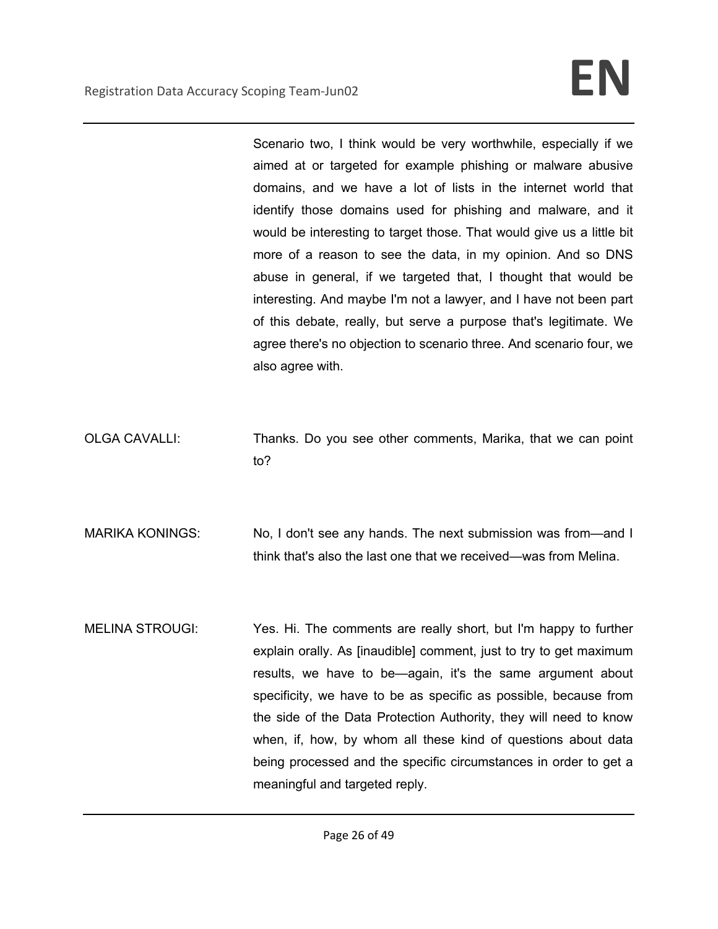Scenario two, I think would be very worthwhile, especially if we aimed at or targeted for example phishing or malware abusive domains, and we have a lot of lists in the internet world that identify those domains used for phishing and malware, and it would be interesting to target those. That would give us a little bit more of a reason to see the data, in my opinion. And so DNS abuse in general, if we targeted that, I thought that would be interesting. And maybe I'm not a lawyer, and I have not been part of this debate, really, but serve a purpose that's legitimate. We agree there's no objection to scenario three. And scenario four, we also agree with.

OLGA CAVALLI: Thanks. Do you see other comments, Marika, that we can point to?

MARIKA KONINGS: No, I don't see any hands. The next submission was from—and I think that's also the last one that we received—was from Melina.

MELINA STROUGI: Yes. Hi. The comments are really short, but I'm happy to further explain orally. As [inaudible] comment, just to try to get maximum results, we have to be—again, it's the same argument about specificity, we have to be as specific as possible, because from the side of the Data Protection Authority, they will need to know when, if, how, by whom all these kind of questions about data being processed and the specific circumstances in order to get a meaningful and targeted reply.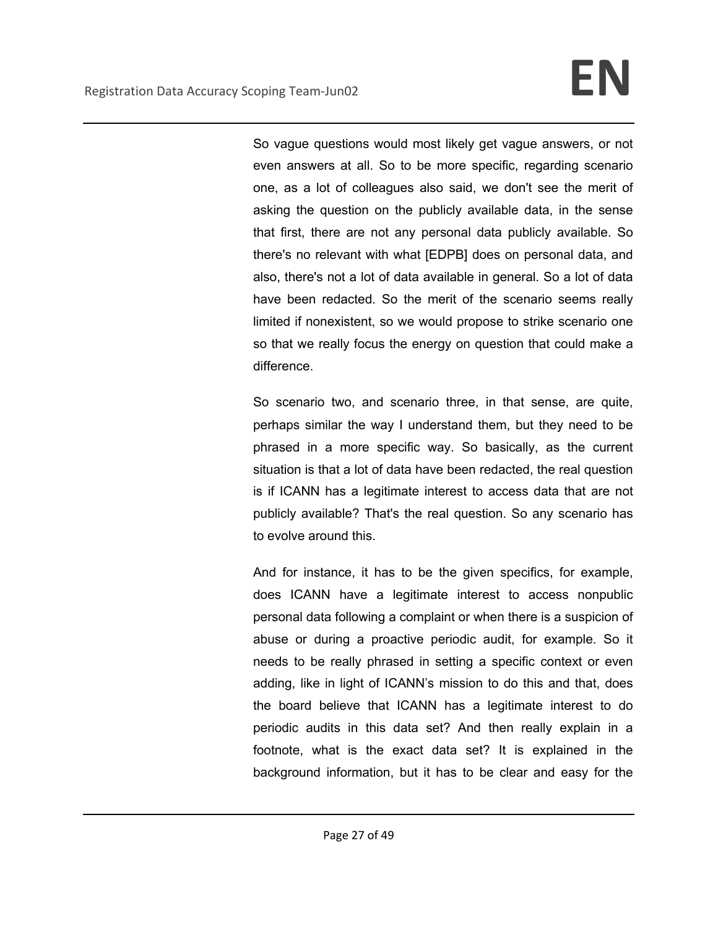So vague questions would most likely get vague answers, or not even answers at all. So to be more specific, regarding scenario one, as a lot of colleagues also said, we don't see the merit of asking the question on the publicly available data, in the sense that first, there are not any personal data publicly available. So there's no relevant with what [EDPB] does on personal data, and also, there's not a lot of data available in general. So a lot of data have been redacted. So the merit of the scenario seems really limited if nonexistent, so we would propose to strike scenario one so that we really focus the energy on question that could make a difference.

So scenario two, and scenario three, in that sense, are quite, perhaps similar the way I understand them, but they need to be phrased in a more specific way. So basically, as the current situation is that a lot of data have been redacted, the real question is if ICANN has a legitimate interest to access data that are not publicly available? That's the real question. So any scenario has to evolve around this.

And for instance, it has to be the given specifics, for example, does ICANN have a legitimate interest to access nonpublic personal data following a complaint or when there is a suspicion of abuse or during a proactive periodic audit, for example. So it needs to be really phrased in setting a specific context or even adding, like in light of ICANN's mission to do this and that, does the board believe that ICANN has a legitimate interest to do periodic audits in this data set? And then really explain in a footnote, what is the exact data set? It is explained in the background information, but it has to be clear and easy for the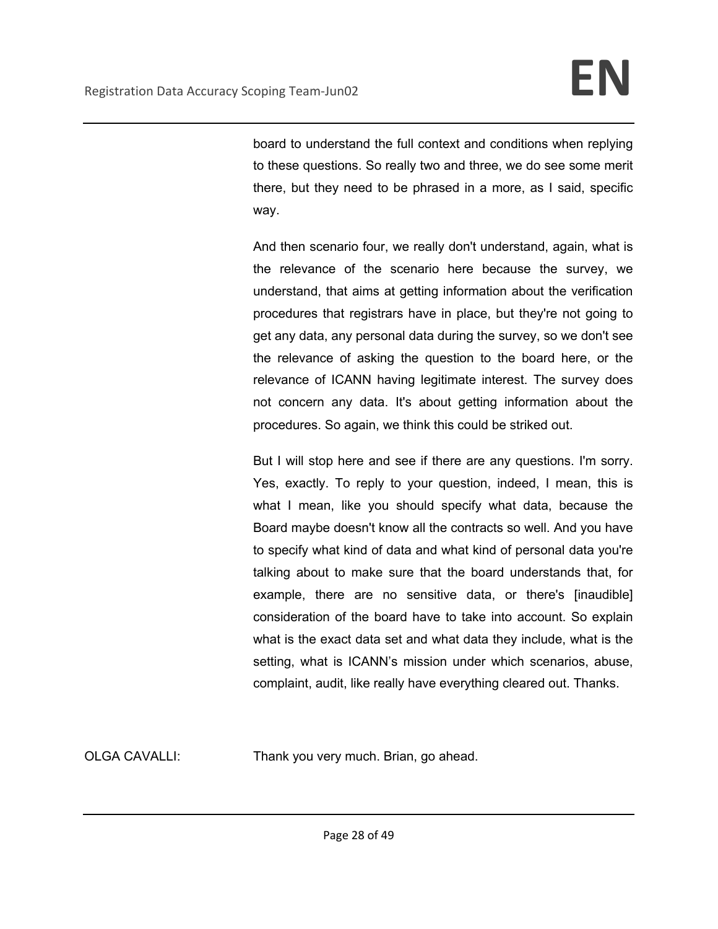board to understand the full context and conditions when replying to these questions. So really two and three, we do see some merit there, but they need to be phrased in a more, as I said, specific way.

And then scenario four, we really don't understand, again, what is the relevance of the scenario here because the survey, we understand, that aims at getting information about the verification procedures that registrars have in place, but they're not going to get any data, any personal data during the survey, so we don't see the relevance of asking the question to the board here, or the relevance of ICANN having legitimate interest. The survey does not concern any data. It's about getting information about the procedures. So again, we think this could be striked out.

But I will stop here and see if there are any questions. I'm sorry. Yes, exactly. To reply to your question, indeed, I mean, this is what I mean, like you should specify what data, because the Board maybe doesn't know all the contracts so well. And you have to specify what kind of data and what kind of personal data you're talking about to make sure that the board understands that, for example, there are no sensitive data, or there's [inaudible] consideration of the board have to take into account. So explain what is the exact data set and what data they include, what is the setting, what is ICANN's mission under which scenarios, abuse, complaint, audit, like really have everything cleared out. Thanks.

OLGA CAVALLI: Thank you very much. Brian, go ahead.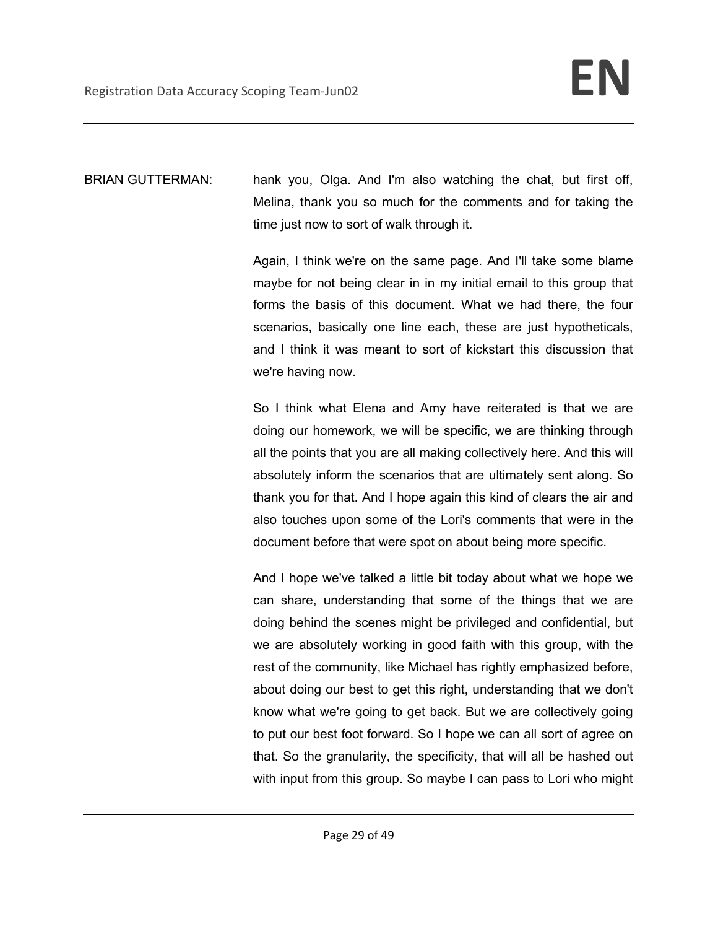BRIAN GUTTERMAN: hank you, Olga. And I'm also watching the chat, but first off, Melina, thank you so much for the comments and for taking the time just now to sort of walk through it.

> Again, I think we're on the same page. And I'll take some blame maybe for not being clear in in my initial email to this group that forms the basis of this document. What we had there, the four scenarios, basically one line each, these are just hypotheticals, and I think it was meant to sort of kickstart this discussion that we're having now.

> So I think what Elena and Amy have reiterated is that we are doing our homework, we will be specific, we are thinking through all the points that you are all making collectively here. And this will absolutely inform the scenarios that are ultimately sent along. So thank you for that. And I hope again this kind of clears the air and also touches upon some of the Lori's comments that were in the document before that were spot on about being more specific.

> And I hope we've talked a little bit today about what we hope we can share, understanding that some of the things that we are doing behind the scenes might be privileged and confidential, but we are absolutely working in good faith with this group, with the rest of the community, like Michael has rightly emphasized before, about doing our best to get this right, understanding that we don't know what we're going to get back. But we are collectively going to put our best foot forward. So I hope we can all sort of agree on that. So the granularity, the specificity, that will all be hashed out with input from this group. So maybe I can pass to Lori who might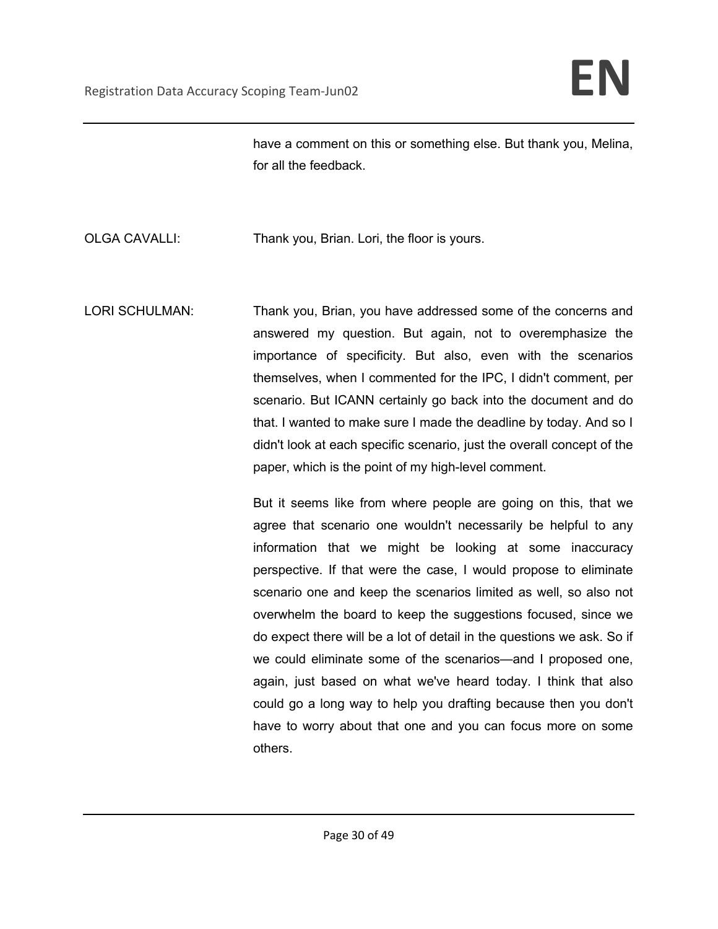have a comment on this or something else. But thank you, Melina, for all the feedback.

OLGA CAVALLI: Thank you, Brian. Lori, the floor is yours.

LORI SCHULMAN: Thank you, Brian, you have addressed some of the concerns and answered my question. But again, not to overemphasize the importance of specificity. But also, even with the scenarios themselves, when I commented for the IPC, I didn't comment, per scenario. But ICANN certainly go back into the document and do that. I wanted to make sure I made the deadline by today. And so I didn't look at each specific scenario, just the overall concept of the paper, which is the point of my high-level comment.

> But it seems like from where people are going on this, that we agree that scenario one wouldn't necessarily be helpful to any information that we might be looking at some inaccuracy perspective. If that were the case, I would propose to eliminate scenario one and keep the scenarios limited as well, so also not overwhelm the board to keep the suggestions focused, since we do expect there will be a lot of detail in the questions we ask. So if we could eliminate some of the scenarios—and I proposed one, again, just based on what we've heard today. I think that also could go a long way to help you drafting because then you don't have to worry about that one and you can focus more on some others.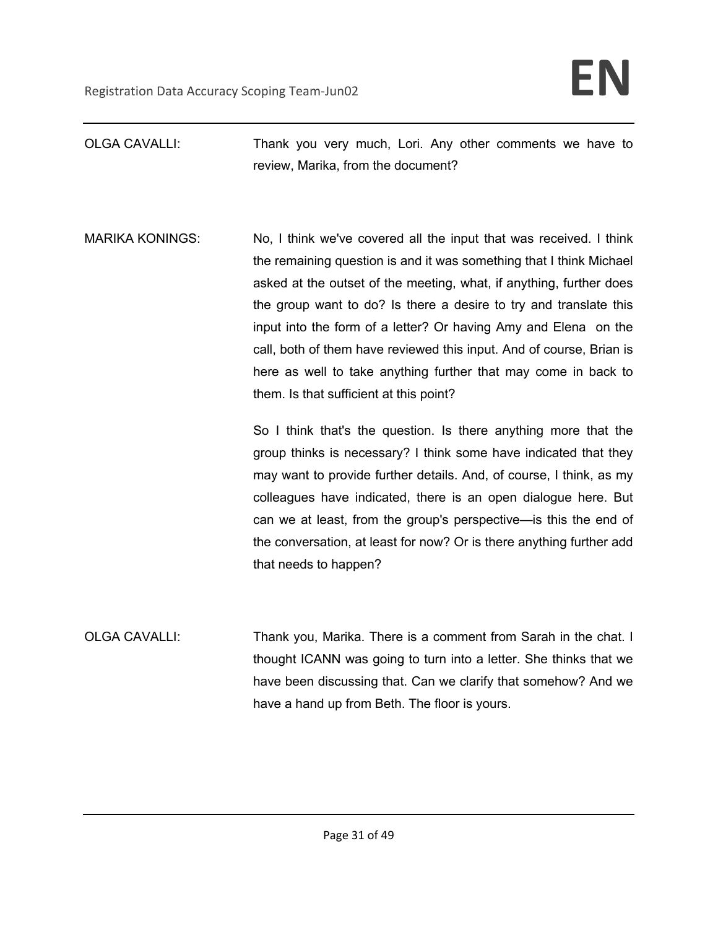- OLGA CAVALLI: Thank you very much, Lori. Any other comments we have to review, Marika, from the document?
- MARIKA KONINGS: No, I think we've covered all the input that was received. I think the remaining question is and it was something that I think Michael asked at the outset of the meeting, what, if anything, further does the group want to do? Is there a desire to try and translate this input into the form of a letter? Or having Amy and Elena on the call, both of them have reviewed this input. And of course, Brian is here as well to take anything further that may come in back to them. Is that sufficient at this point?

So I think that's the question. Is there anything more that the group thinks is necessary? I think some have indicated that they may want to provide further details. And, of course, I think, as my colleagues have indicated, there is an open dialogue here. But can we at least, from the group's perspective—is this the end of the conversation, at least for now? Or is there anything further add that needs to happen?

OLGA CAVALLI: Thank you, Marika. There is a comment from Sarah in the chat. I thought ICANN was going to turn into a letter. She thinks that we have been discussing that. Can we clarify that somehow? And we have a hand up from Beth. The floor is yours.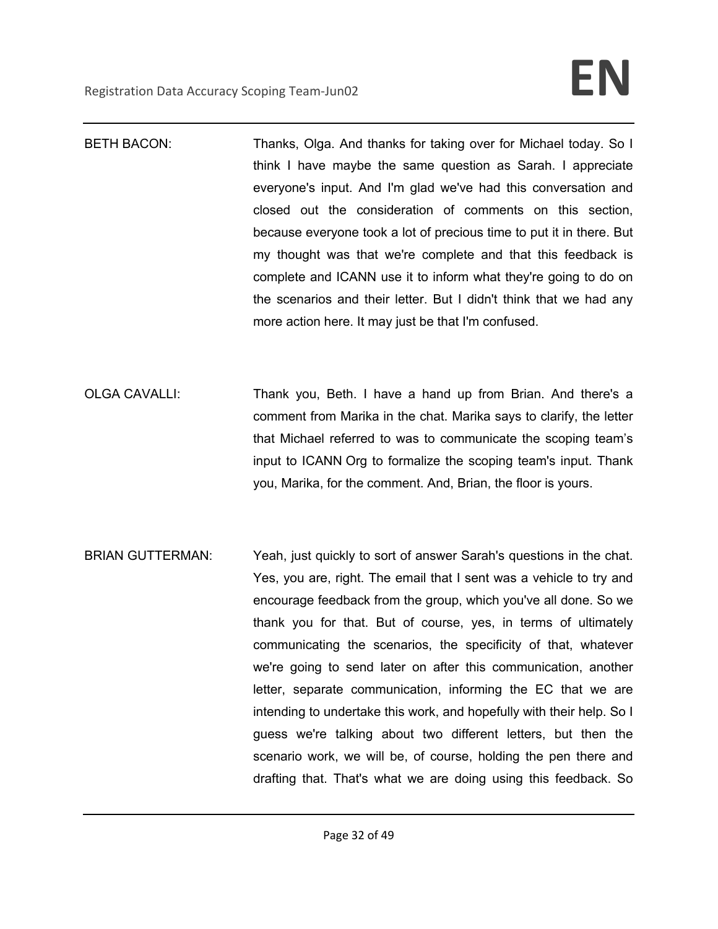- BETH BACON: Thanks, Olga. And thanks for taking over for Michael today. So I think I have maybe the same question as Sarah. I appreciate everyone's input. And I'm glad we've had this conversation and closed out the consideration of comments on this section, because everyone took a lot of precious time to put it in there. But my thought was that we're complete and that this feedback is complete and ICANN use it to inform what they're going to do on the scenarios and their letter. But I didn't think that we had any more action here. It may just be that I'm confused.
- OLGA CAVALLI: Thank you, Beth. I have a hand up from Brian. And there's a comment from Marika in the chat. Marika says to clarify, the letter that Michael referred to was to communicate the scoping team's input to ICANN Org to formalize the scoping team's input. Thank you, Marika, for the comment. And, Brian, the floor is yours.
- BRIAN GUTTERMAN: Yeah, just quickly to sort of answer Sarah's questions in the chat. Yes, you are, right. The email that I sent was a vehicle to try and encourage feedback from the group, which you've all done. So we thank you for that. But of course, yes, in terms of ultimately communicating the scenarios, the specificity of that, whatever we're going to send later on after this communication, another letter, separate communication, informing the EC that we are intending to undertake this work, and hopefully with their help. So I guess we're talking about two different letters, but then the scenario work, we will be, of course, holding the pen there and drafting that. That's what we are doing using this feedback. So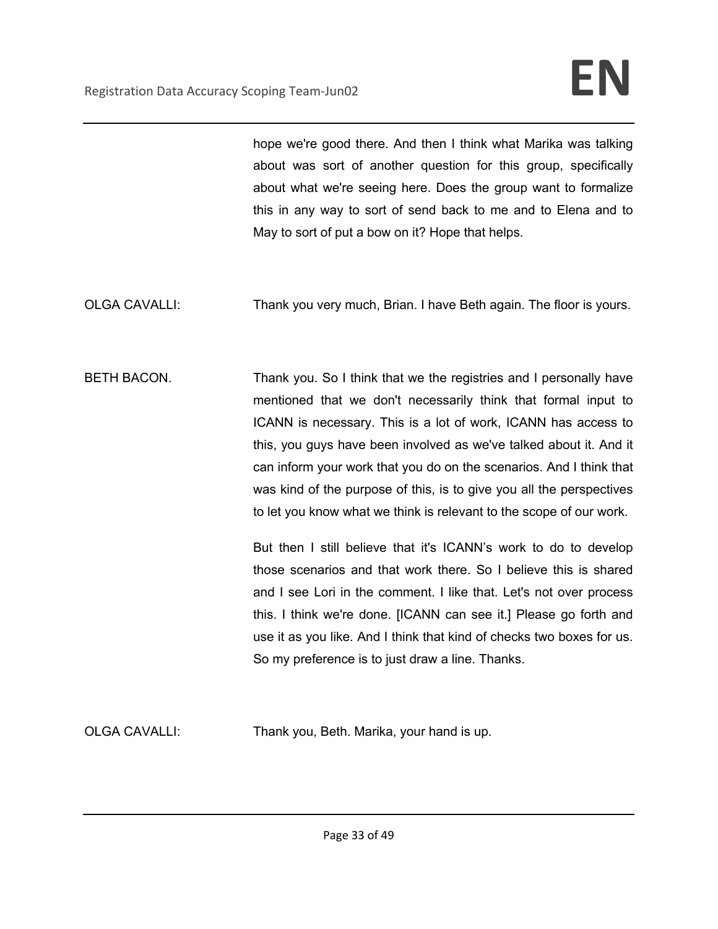hope we're good there. And then I think what Marika was talking about was sort of another question for this group, specifically about what we're seeing here. Does the group want to formalize this in any way to sort of send back to me and to Elena and to May to sort of put a bow on it? Hope that helps.

- OLGA CAVALLI: Thank you very much, Brian. I have Beth again. The floor is yours.
- BETH BACON. Thank you. So I think that we the registries and I personally have mentioned that we don't necessarily think that formal input to ICANN is necessary. This is a lot of work, ICANN has access to this, you guys have been involved as we've talked about it. And it can inform your work that you do on the scenarios. And I think that was kind of the purpose of this, is to give you all the perspectives to let you know what we think is relevant to the scope of our work.

But then I still believe that it's ICANN's work to do to develop those scenarios and that work there. So I believe this is shared and I see Lori in the comment. I like that. Let's not over process this. I think we're done. [ICANN can see it.] Please go forth and use it as you like. And I think that kind of checks two boxes for us. So my preference is to just draw a line. Thanks.

OLGA CAVALLI: Thank you, Beth. Marika, your hand is up.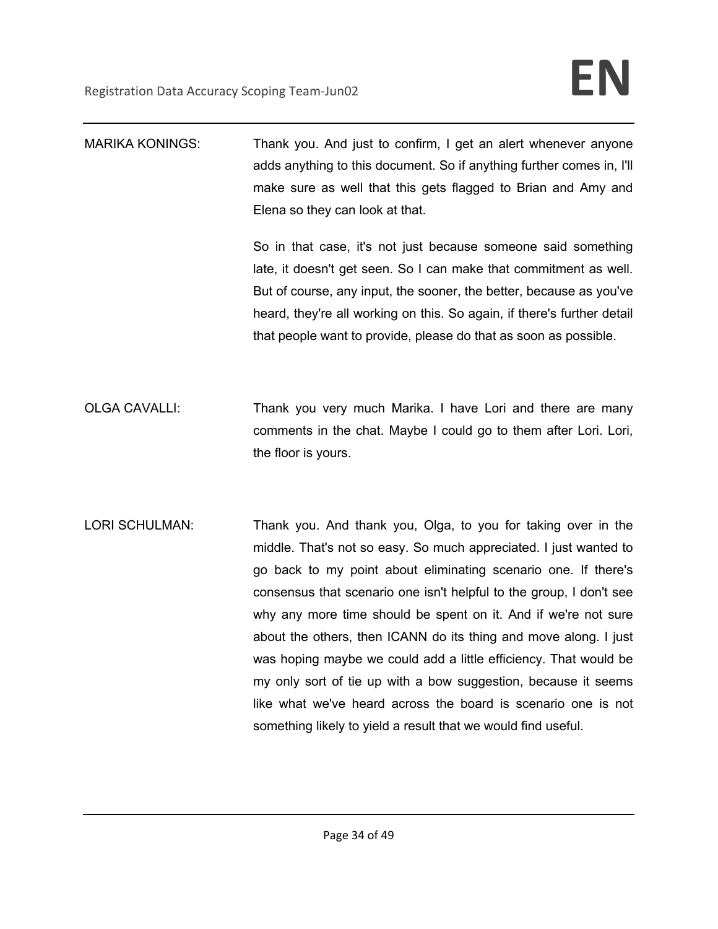| Thank you. And just to confirm, I get an alert whenever anyone        |
|-----------------------------------------------------------------------|
| adds anything to this document. So if anything further comes in, I'll |
| make sure as well that this gets flagged to Brian and Amy and         |
| Elena so they can look at that.                                       |
|                                                                       |

So in that case, it's not just because someone said something late, it doesn't get seen. So I can make that commitment as well. But of course, any input, the sooner, the better, because as you've heard, they're all working on this. So again, if there's further detail that people want to provide, please do that as soon as possible.

- OLGA CAVALLI: Thank you very much Marika. I have Lori and there are many comments in the chat. Maybe I could go to them after Lori. Lori, the floor is yours.
- LORI SCHULMAN: Thank you. And thank you, Olga, to you for taking over in the middle. That's not so easy. So much appreciated. I just wanted to go back to my point about eliminating scenario one. If there's consensus that scenario one isn't helpful to the group, I don't see why any more time should be spent on it. And if we're not sure about the others, then ICANN do its thing and move along. I just was hoping maybe we could add a little efficiency. That would be my only sort of tie up with a bow suggestion, because it seems like what we've heard across the board is scenario one is not something likely to yield a result that we would find useful.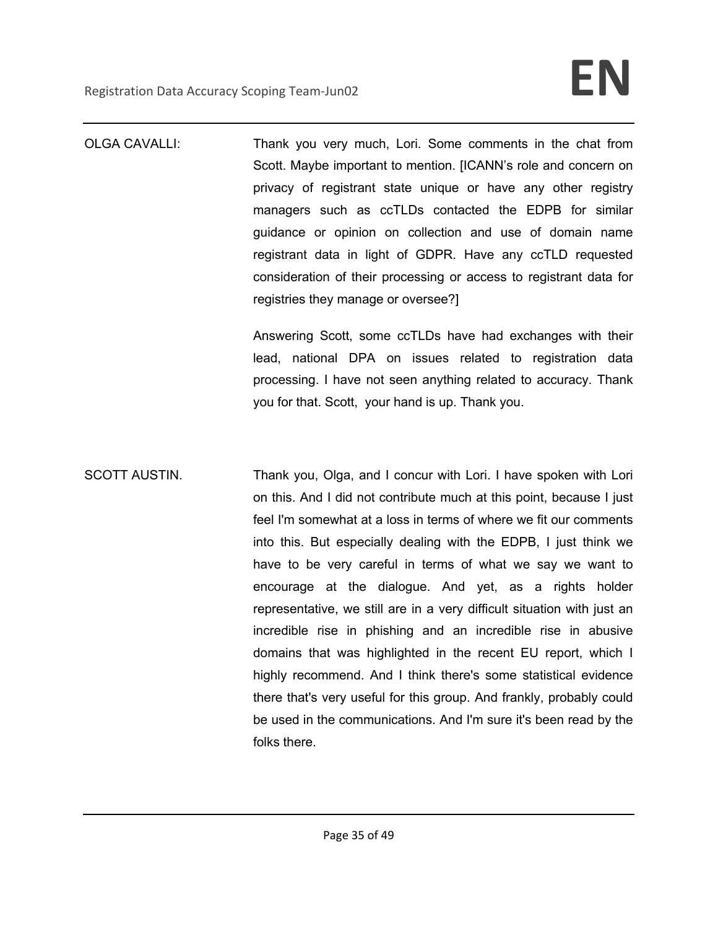OLGA CAVALLI: Thank you very much, Lori. Some comments in the chat from Scott. Maybe important to mention. [ICANN's role and concern on privacy of registrant state unique or have any other registry managers such as ccTLDs contacted the EDPB for similar guidance or opinion on collection and use of domain name registrant data in light of GDPR. Have any ccTLD requested consideration of their processing or access to registrant data for registries they manage or oversee?]

> Answering Scott, some ccTLDs have had exchanges with their lead, national DPA on issues related to registration data processing. I have not seen anything related to accuracy. Thank you for that. Scott, your hand is up. Thank you.

SCOTT AUSTIN. Thank you, Olga, and I concur with Lori. I have spoken with Lori on this. And I did not contribute much at this point, because I just feel I'm somewhat at a loss in terms of where we fit our comments into this. But especially dealing with the EDPB, I just think we have to be very careful in terms of what we say we want to encourage at the dialogue. And yet, as a rights holder representative, we still are in a very difficult situation with just an incredible rise in phishing and an incredible rise in abusive domains that was highlighted in the recent EU report, which I highly recommend. And I think there's some statistical evidence there that's very useful for this group. And frankly, probably could be used in the communications. And I'm sure it's been read by the folks there.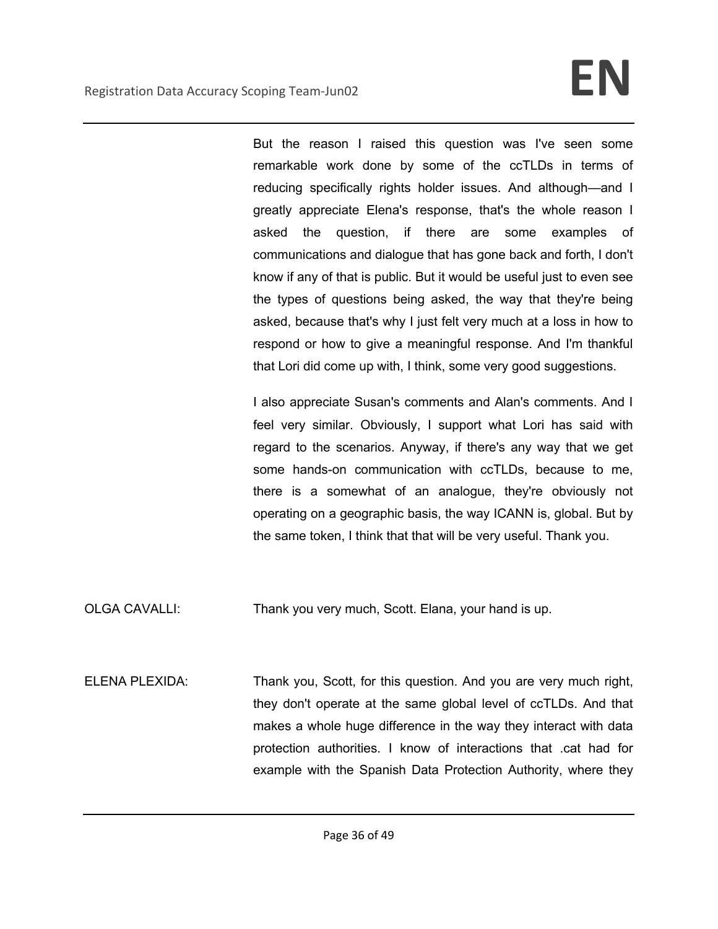But the reason I raised this question was I've seen some remarkable work done by some of the ccTLDs in terms of reducing specifically rights holder issues. And although—and I greatly appreciate Elena's response, that's the whole reason I asked the question, if there are some examples of communications and dialogue that has gone back and forth, I don't know if any of that is public. But it would be useful just to even see the types of questions being asked, the way that they're being asked, because that's why I just felt very much at a loss in how to respond or how to give a meaningful response. And I'm thankful that Lori did come up with, I think, some very good suggestions.

I also appreciate Susan's comments and Alan's comments. And I feel very similar. Obviously, I support what Lori has said with regard to the scenarios. Anyway, if there's any way that we get some hands-on communication with ccTLDs, because to me, there is a somewhat of an analogue, they're obviously not operating on a geographic basis, the way ICANN is, global. But by the same token, I think that that will be very useful. Thank you.

OLGA CAVALLI: Thank you very much, Scott. Elana, your hand is up.

ELENA PLEXIDA: Thank you, Scott, for this question. And you are very much right, they don't operate at the same global level of ccTLDs. And that makes a whole huge difference in the way they interact with data protection authorities. I know of interactions that .cat had for example with the Spanish Data Protection Authority, where they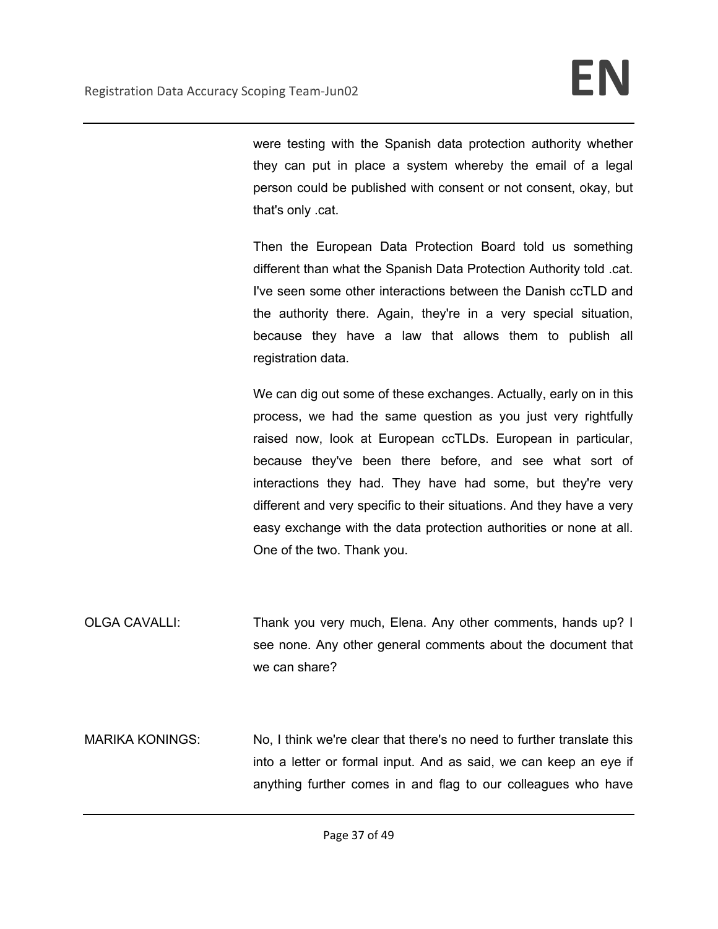were testing with the Spanish data protection authority whether they can put in place a system whereby the email of a legal person could be published with consent or not consent, okay, but that's only .cat.

Then the European Data Protection Board told us something different than what the Spanish Data Protection Authority told .cat. I've seen some other interactions between the Danish ccTLD and the authority there. Again, they're in a very special situation, because they have a law that allows them to publish all registration data.

We can dig out some of these exchanges. Actually, early on in this process, we had the same question as you just very rightfully raised now, look at European ccTLDs. European in particular, because they've been there before, and see what sort of interactions they had. They have had some, but they're very different and very specific to their situations. And they have a very easy exchange with the data protection authorities or none at all. One of the two. Thank you.

OLGA CAVALLI: Thank you very much, Elena. Any other comments, hands up? I see none. Any other general comments about the document that we can share?

MARIKA KONINGS: No, I think we're clear that there's no need to further translate this into a letter or formal input. And as said, we can keep an eye if anything further comes in and flag to our colleagues who have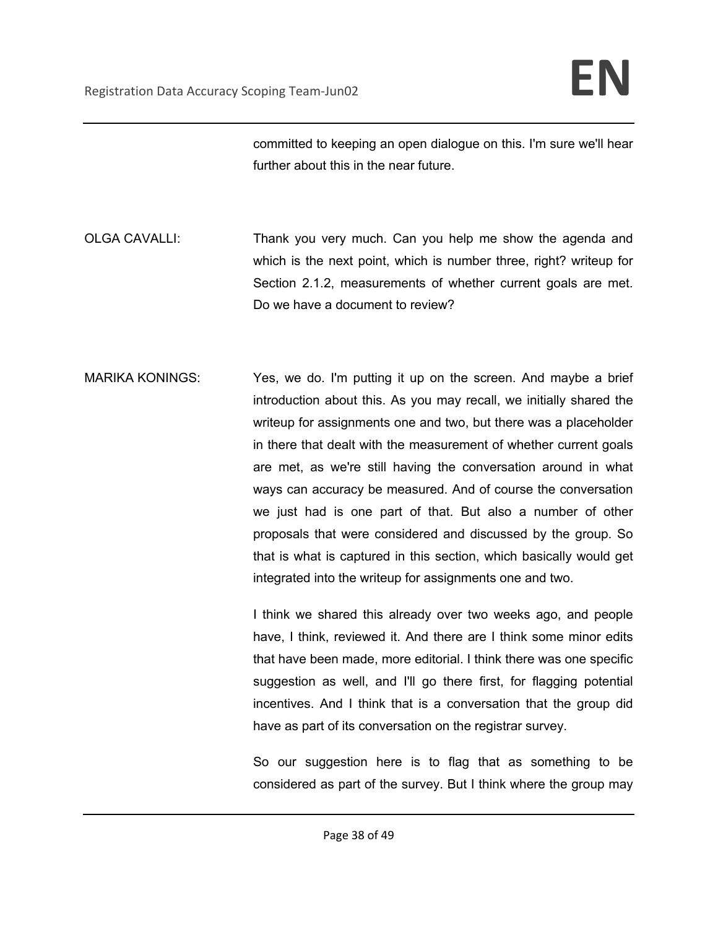committed to keeping an open dialogue on this. I'm sure we'll hear further about this in the near future.

OLGA CAVALLI: Thank you very much. Can you help me show the agenda and which is the next point, which is number three, right? writeup for Section 2.1.2, measurements of whether current goals are met. Do we have a document to review?

MARIKA KONINGS: Yes, we do. I'm putting it up on the screen. And maybe a brief introduction about this. As you may recall, we initially shared the writeup for assignments one and two, but there was a placeholder in there that dealt with the measurement of whether current goals are met, as we're still having the conversation around in what ways can accuracy be measured. And of course the conversation we just had is one part of that. But also a number of other proposals that were considered and discussed by the group. So that is what is captured in this section, which basically would get integrated into the writeup for assignments one and two.

> I think we shared this already over two weeks ago, and people have, I think, reviewed it. And there are I think some minor edits that have been made, more editorial. I think there was one specific suggestion as well, and I'll go there first, for flagging potential incentives. And I think that is a conversation that the group did have as part of its conversation on the registrar survey.

> So our suggestion here is to flag that as something to be considered as part of the survey. But I think where the group may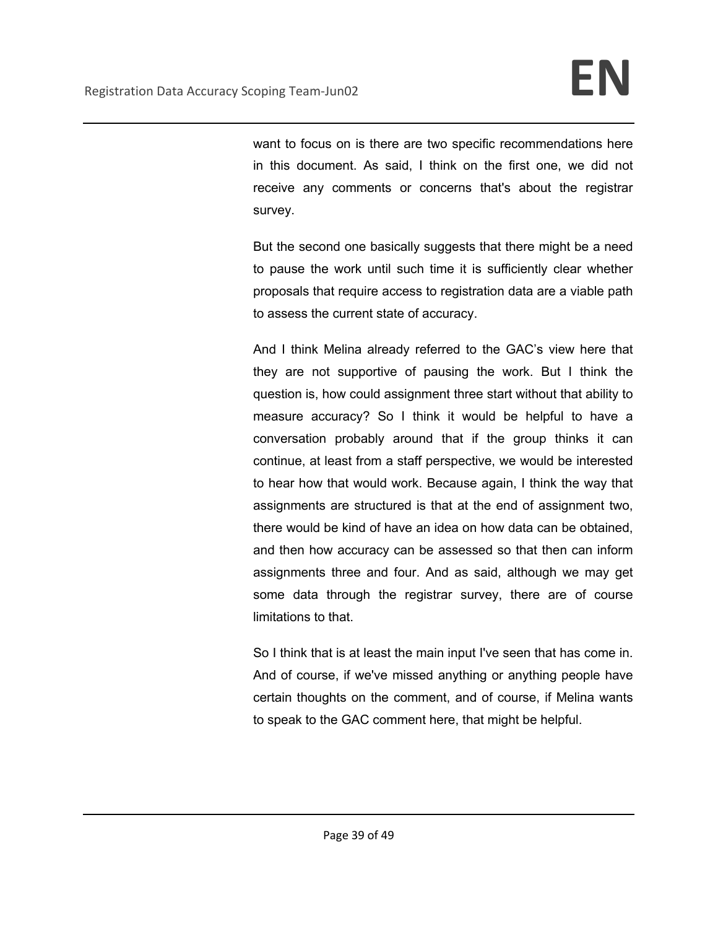want to focus on is there are two specific recommendations here in this document. As said, I think on the first one, we did not receive any comments or concerns that's about the registrar survey.

But the second one basically suggests that there might be a need to pause the work until such time it is sufficiently clear whether proposals that require access to registration data are a viable path to assess the current state of accuracy.

And I think Melina already referred to the GAC's view here that they are not supportive of pausing the work. But I think the question is, how could assignment three start without that ability to measure accuracy? So I think it would be helpful to have a conversation probably around that if the group thinks it can continue, at least from a staff perspective, we would be interested to hear how that would work. Because again, I think the way that assignments are structured is that at the end of assignment two, there would be kind of have an idea on how data can be obtained, and then how accuracy can be assessed so that then can inform assignments three and four. And as said, although we may get some data through the registrar survey, there are of course limitations to that.

So I think that is at least the main input I've seen that has come in. And of course, if we've missed anything or anything people have certain thoughts on the comment, and of course, if Melina wants to speak to the GAC comment here, that might be helpful.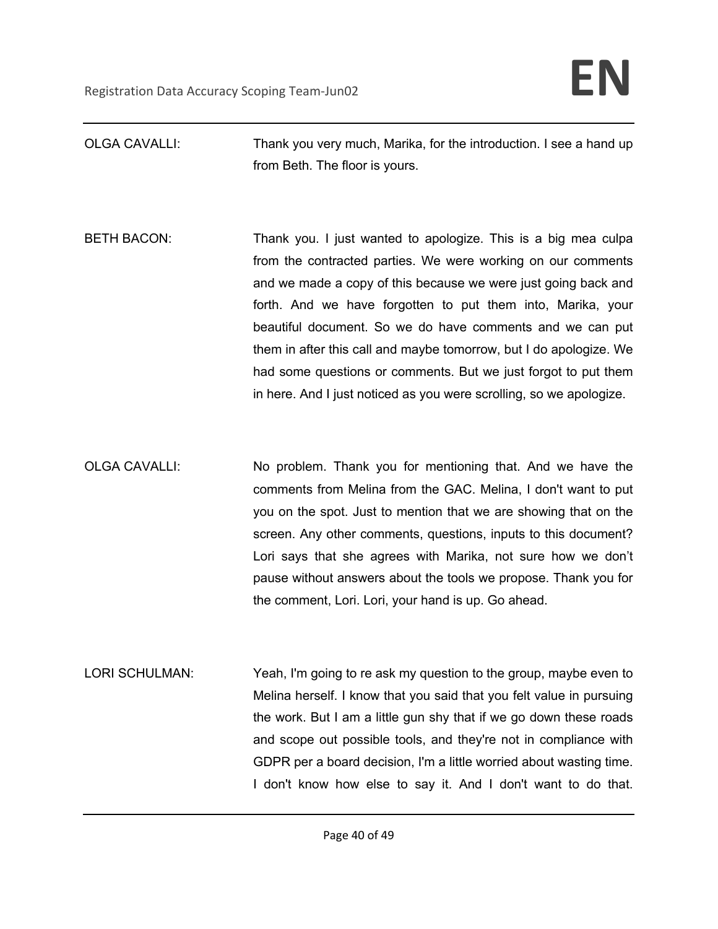OLGA CAVALLI: Thank you very much, Marika, for the introduction. I see a hand up from Beth. The floor is yours.

BETH BACON: Thank you. I just wanted to apologize. This is a big mea culpa from the contracted parties. We were working on our comments and we made a copy of this because we were just going back and forth. And we have forgotten to put them into, Marika, your beautiful document. So we do have comments and we can put them in after this call and maybe tomorrow, but I do apologize. We had some questions or comments. But we just forgot to put them in here. And I just noticed as you were scrolling, so we apologize.

OLGA CAVALLI: No problem. Thank you for mentioning that. And we have the comments from Melina from the GAC. Melina, I don't want to put you on the spot. Just to mention that we are showing that on the screen. Any other comments, questions, inputs to this document? Lori says that she agrees with Marika, not sure how we don't pause without answers about the tools we propose. Thank you for the comment, Lori. Lori, your hand is up. Go ahead.

LORI SCHULMAN: Yeah, I'm going to re ask my question to the group, maybe even to Melina herself. I know that you said that you felt value in pursuing the work. But I am a little gun shy that if we go down these roads and scope out possible tools, and they're not in compliance with GDPR per a board decision, I'm a little worried about wasting time. I don't know how else to say it. And I don't want to do that.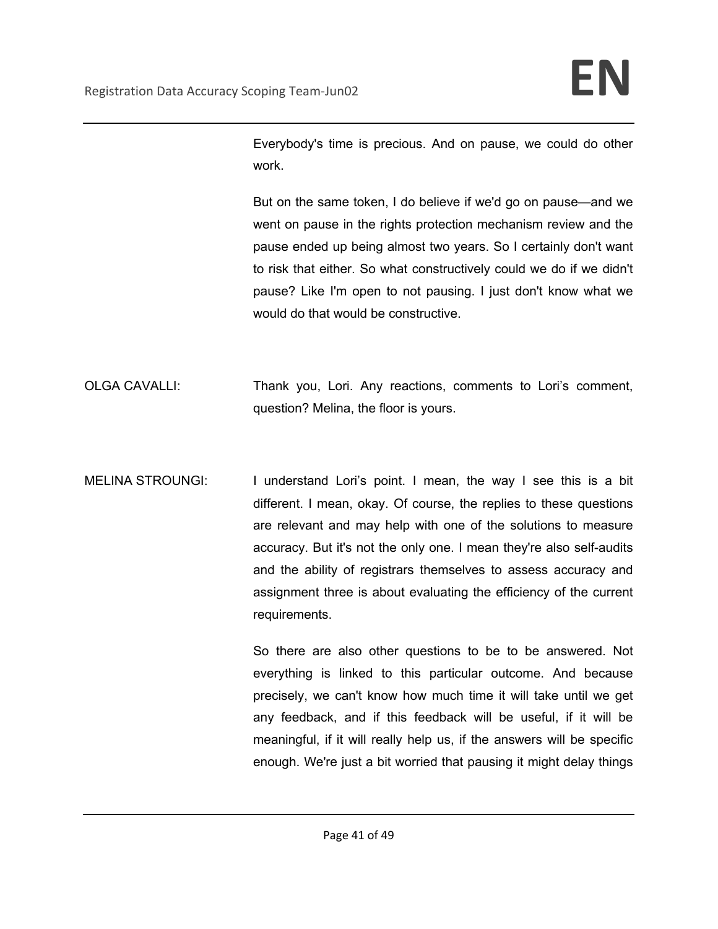Everybody's time is precious. And on pause, we could do other work.

But on the same token, I do believe if we'd go on pause—and we went on pause in the rights protection mechanism review and the pause ended up being almost two years. So I certainly don't want to risk that either. So what constructively could we do if we didn't pause? Like I'm open to not pausing. I just don't know what we would do that would be constructive.

- OLGA CAVALLI: Thank you, Lori. Any reactions, comments to Lori's comment, question? Melina, the floor is yours.
- MELINA STROUNGI: I understand Lori's point. I mean, the way I see this is a bit different. I mean, okay. Of course, the replies to these questions are relevant and may help with one of the solutions to measure accuracy. But it's not the only one. I mean they're also self-audits and the ability of registrars themselves to assess accuracy and assignment three is about evaluating the efficiency of the current requirements.

So there are also other questions to be to be answered. Not everything is linked to this particular outcome. And because precisely, we can't know how much time it will take until we get any feedback, and if this feedback will be useful, if it will be meaningful, if it will really help us, if the answers will be specific enough. We're just a bit worried that pausing it might delay things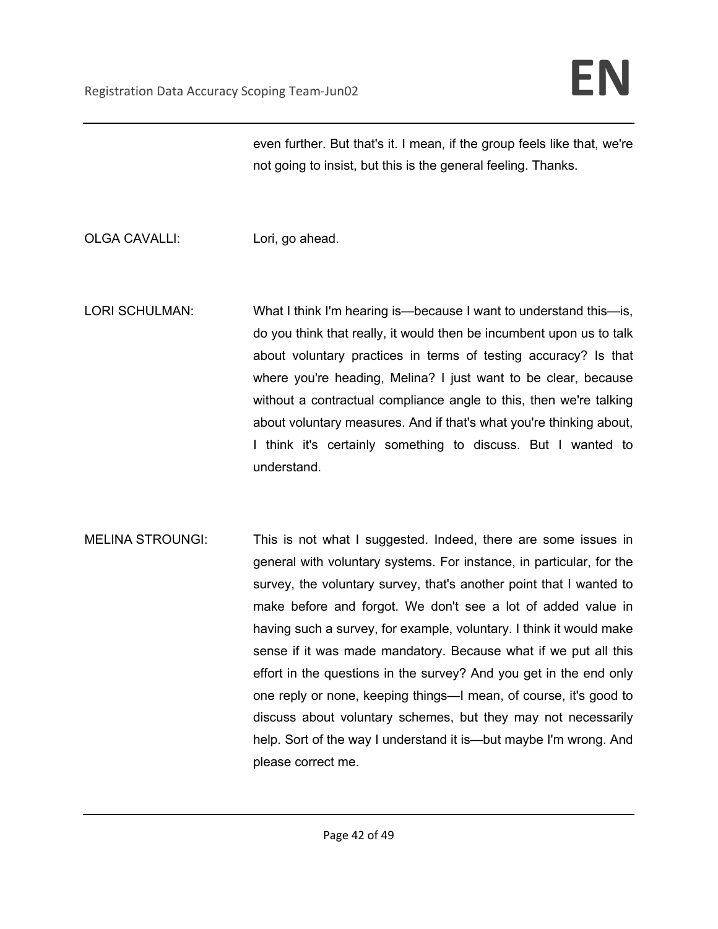even further. But that's it. I mean, if the group feels like that, we're not going to insist, but this is the general feeling. Thanks.

- OLGA CAVALLI: Lori, go ahead.
- LORI SCHULMAN: What I think I'm hearing is—because I want to understand this—is, do you think that really, it would then be incumbent upon us to talk about voluntary practices in terms of testing accuracy? Is that where you're heading, Melina? I just want to be clear, because without a contractual compliance angle to this, then we're talking about voluntary measures. And if that's what you're thinking about, I think it's certainly something to discuss. But I wanted to understand.
- MELINA STROUNGI: This is not what I suggested. Indeed, there are some issues in general with voluntary systems. For instance, in particular, for the survey, the voluntary survey, that's another point that I wanted to make before and forgot. We don't see a lot of added value in having such a survey, for example, voluntary. I think it would make sense if it was made mandatory. Because what if we put all this effort in the questions in the survey? And you get in the end only one reply or none, keeping things—I mean, of course, it's good to discuss about voluntary schemes, but they may not necessarily help. Sort of the way I understand it is—but maybe I'm wrong. And please correct me.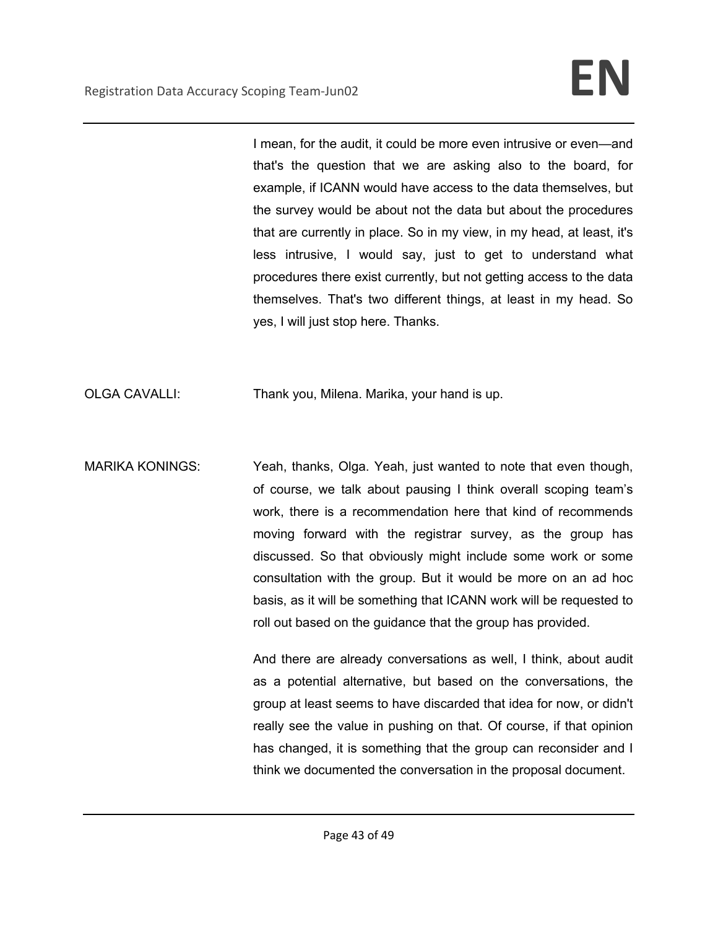I mean, for the audit, it could be more even intrusive or even—and that's the question that we are asking also to the board, for example, if ICANN would have access to the data themselves, but the survey would be about not the data but about the procedures that are currently in place. So in my view, in my head, at least, it's less intrusive, I would say, just to get to understand what procedures there exist currently, but not getting access to the data themselves. That's two different things, at least in my head. So yes, I will just stop here. Thanks.

OLGA CAVALLI: Thank you, Milena. Marika, your hand is up.

MARIKA KONINGS: Yeah, thanks, Olga. Yeah, just wanted to note that even though, of course, we talk about pausing I think overall scoping team's work, there is a recommendation here that kind of recommends moving forward with the registrar survey, as the group has discussed. So that obviously might include some work or some consultation with the group. But it would be more on an ad hoc basis, as it will be something that ICANN work will be requested to roll out based on the guidance that the group has provided.

> And there are already conversations as well, I think, about audit as a potential alternative, but based on the conversations, the group at least seems to have discarded that idea for now, or didn't really see the value in pushing on that. Of course, if that opinion has changed, it is something that the group can reconsider and I think we documented the conversation in the proposal document.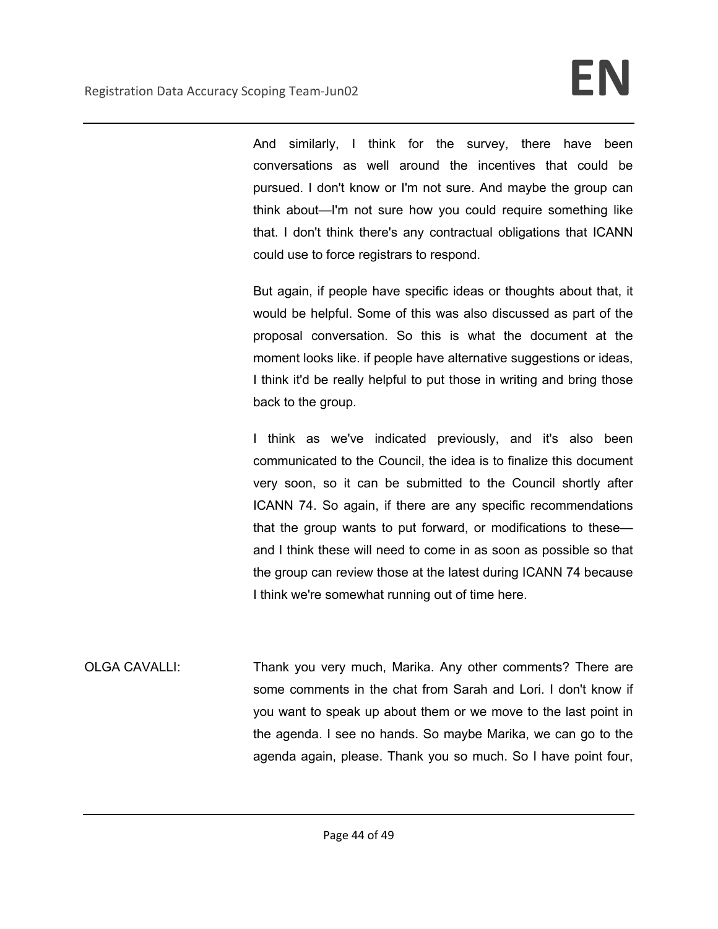And similarly, I think for the survey, there have been conversations as well around the incentives that could be pursued. I don't know or I'm not sure. And maybe the group can think about—I'm not sure how you could require something like that. I don't think there's any contractual obligations that ICANN could use to force registrars to respond.

But again, if people have specific ideas or thoughts about that, it would be helpful. Some of this was also discussed as part of the proposal conversation. So this is what the document at the moment looks like. if people have alternative suggestions or ideas, I think it'd be really helpful to put those in writing and bring those back to the group.

I think as we've indicated previously, and it's also been communicated to the Council, the idea is to finalize this document very soon, so it can be submitted to the Council shortly after ICANN 74. So again, if there are any specific recommendations that the group wants to put forward, or modifications to these and I think these will need to come in as soon as possible so that the group can review those at the latest during ICANN 74 because I think we're somewhat running out of time here.

OLGA CAVALLI: Thank you very much, Marika. Any other comments? There are some comments in the chat from Sarah and Lori. I don't know if you want to speak up about them or we move to the last point in the agenda. I see no hands. So maybe Marika, we can go to the agenda again, please. Thank you so much. So I have point four,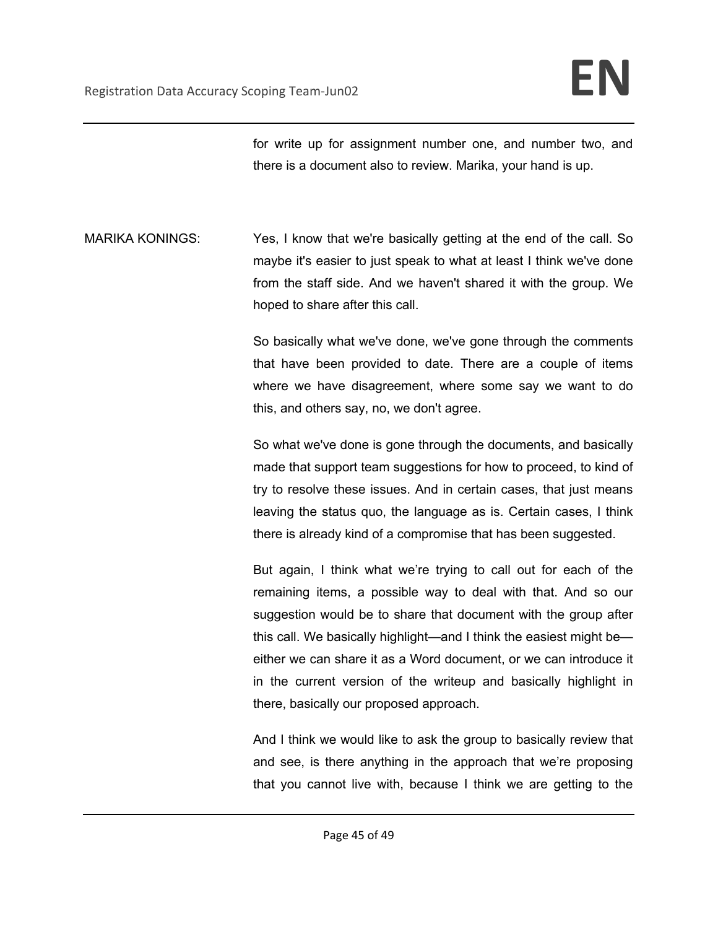for write up for assignment number one, and number two, and there is a document also to review. Marika, your hand is up.

MARIKA KONINGS: Yes, I know that we're basically getting at the end of the call. So maybe it's easier to just speak to what at least I think we've done from the staff side. And we haven't shared it with the group. We hoped to share after this call.

> So basically what we've done, we've gone through the comments that have been provided to date. There are a couple of items where we have disagreement, where some say we want to do this, and others say, no, we don't agree.

> So what we've done is gone through the documents, and basically made that support team suggestions for how to proceed, to kind of try to resolve these issues. And in certain cases, that just means leaving the status quo, the language as is. Certain cases, I think there is already kind of a compromise that has been suggested.

> But again, I think what we're trying to call out for each of the remaining items, a possible way to deal with that. And so our suggestion would be to share that document with the group after this call. We basically highlight—and I think the easiest might be either we can share it as a Word document, or we can introduce it in the current version of the writeup and basically highlight in there, basically our proposed approach.

> And I think we would like to ask the group to basically review that and see, is there anything in the approach that we're proposing that you cannot live with, because I think we are getting to the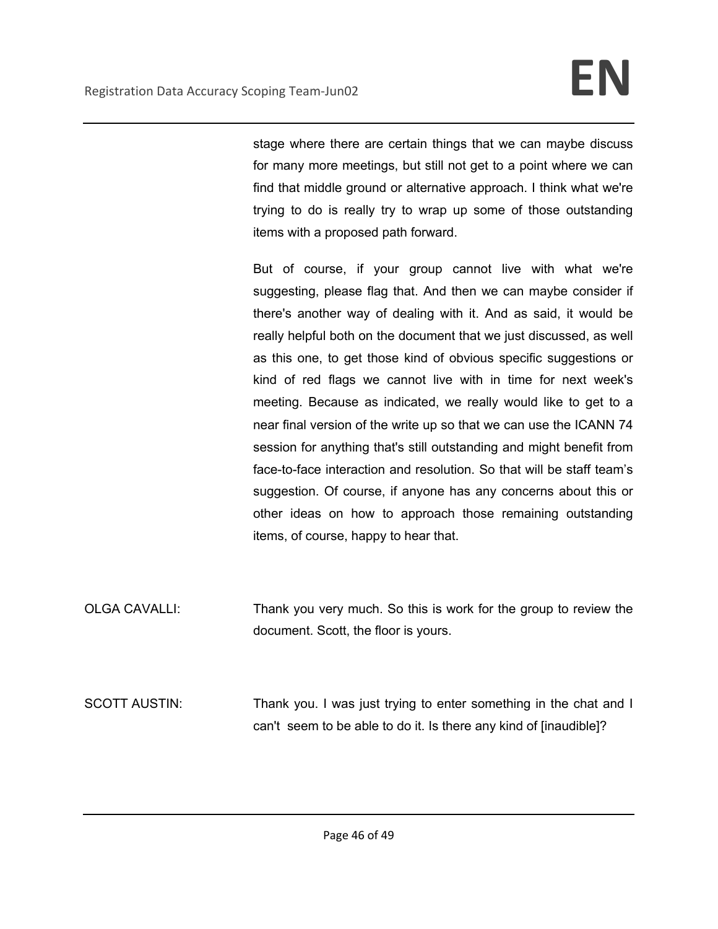stage where there are certain things that we can maybe discuss for many more meetings, but still not get to a point where we can find that middle ground or alternative approach. I think what we're trying to do is really try to wrap up some of those outstanding items with a proposed path forward.

But of course, if your group cannot live with what we're suggesting, please flag that. And then we can maybe consider if there's another way of dealing with it. And as said, it would be really helpful both on the document that we just discussed, as well as this one, to get those kind of obvious specific suggestions or kind of red flags we cannot live with in time for next week's meeting. Because as indicated, we really would like to get to a near final version of the write up so that we can use the ICANN 74 session for anything that's still outstanding and might benefit from face-to-face interaction and resolution. So that will be staff team's suggestion. Of course, if anyone has any concerns about this or other ideas on how to approach those remaining outstanding items, of course, happy to hear that.

- OLGA CAVALLI: Thank you very much. So this is work for the group to review the document. Scott, the floor is yours.
- SCOTT AUSTIN: Thank you. I was just trying to enter something in the chat and I can't seem to be able to do it. Is there any kind of [inaudible]?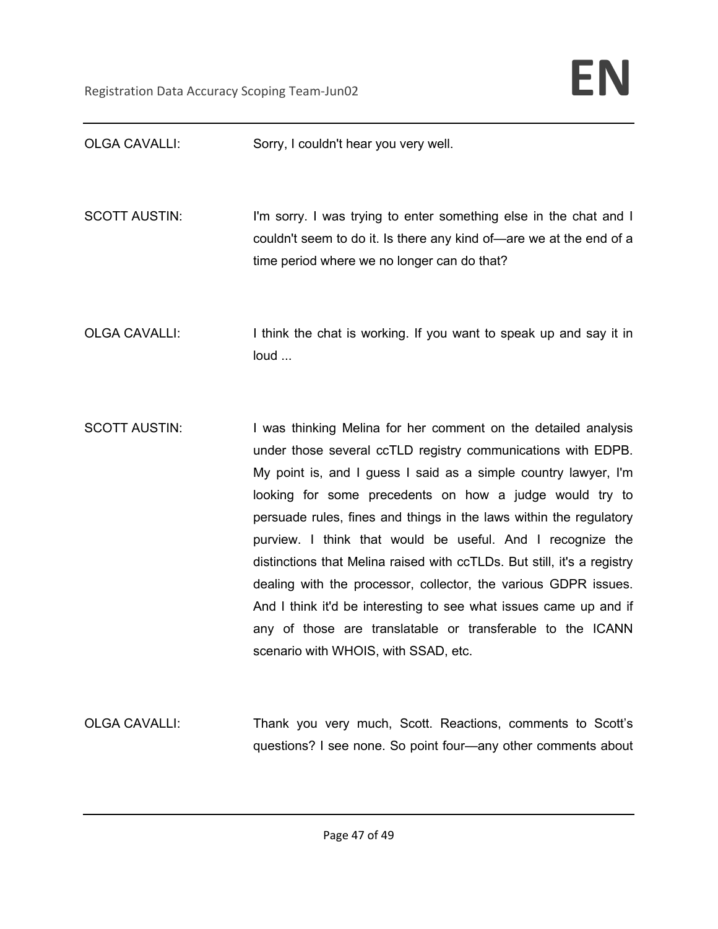| <b>OLGA CAVALLI:</b> | Sorry, I couldn't hear you very well.                                                                                                                                                                                                                                                                                                                                                                                                                                                                                                                                                                                                                                                                                     |
|----------------------|---------------------------------------------------------------------------------------------------------------------------------------------------------------------------------------------------------------------------------------------------------------------------------------------------------------------------------------------------------------------------------------------------------------------------------------------------------------------------------------------------------------------------------------------------------------------------------------------------------------------------------------------------------------------------------------------------------------------------|
| <b>SCOTT AUSTIN:</b> | I'm sorry. I was trying to enter something else in the chat and I<br>couldn't seem to do it. Is there any kind of—are we at the end of a<br>time period where we no longer can do that?                                                                                                                                                                                                                                                                                                                                                                                                                                                                                                                                   |
| <b>OLGA CAVALLI:</b> | I think the chat is working. If you want to speak up and say it in<br>loud                                                                                                                                                                                                                                                                                                                                                                                                                                                                                                                                                                                                                                                |
| <b>SCOTT AUSTIN:</b> | I was thinking Melina for her comment on the detailed analysis<br>under those several ccTLD registry communications with EDPB.<br>My point is, and I guess I said as a simple country lawyer, I'm<br>looking for some precedents on how a judge would try to<br>persuade rules, fines and things in the laws within the regulatory<br>purview. I think that would be useful. And I recognize the<br>distinctions that Melina raised with ccTLDs. But still, it's a registry<br>dealing with the processor, collector, the various GDPR issues.<br>And I think it'd be interesting to see what issues came up and if<br>any of those are translatable or transferable to the ICANN<br>scenario with WHOIS, with SSAD, etc. |
| <b>OLGA CAVALLI:</b> | Thank you very much, Scott. Reactions, comments to Scott's<br>questions? I see none. So point four—any other comments about                                                                                                                                                                                                                                                                                                                                                                                                                                                                                                                                                                                               |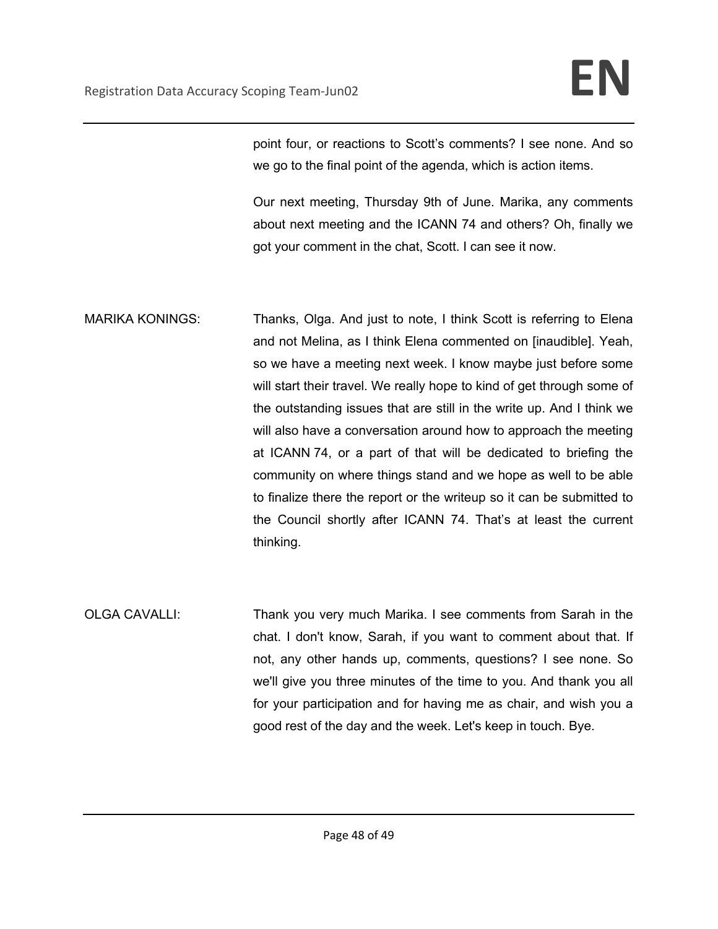point four, or reactions to Scott's comments? I see none. And so we go to the final point of the agenda, which is action items.

Our next meeting, Thursday 9th of June. Marika, any comments about next meeting and the ICANN 74 and others? Oh, finally we got your comment in the chat, Scott. I can see it now.

- MARIKA KONINGS: Thanks, Olga. And just to note, I think Scott is referring to Elena and not Melina, as I think Elena commented on [inaudible]. Yeah, so we have a meeting next week. I know maybe just before some will start their travel. We really hope to kind of get through some of the outstanding issues that are still in the write up. And I think we will also have a conversation around how to approach the meeting at ICANN 74, or a part of that will be dedicated to briefing the community on where things stand and we hope as well to be able to finalize there the report or the writeup so it can be submitted to the Council shortly after ICANN 74. That's at least the current thinking.
- OLGA CAVALLI: Thank you very much Marika. I see comments from Sarah in the chat. I don't know, Sarah, if you want to comment about that. If not, any other hands up, comments, questions? I see none. So we'll give you three minutes of the time to you. And thank you all for your participation and for having me as chair, and wish you a good rest of the day and the week. Let's keep in touch. Bye.